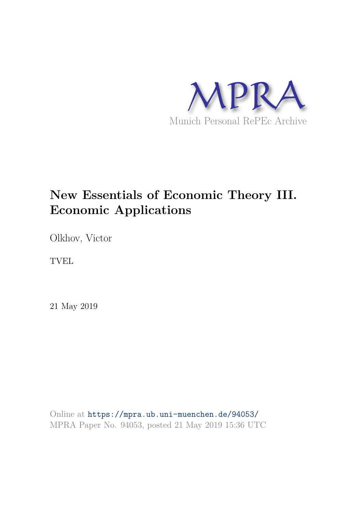

# **New Essentials of Economic Theory III. Economic Applications**

Olkhov, Victor

TVEL

21 May 2019

Online at https://mpra.ub.uni-muenchen.de/94053/ MPRA Paper No. 94053, posted 21 May 2019 15:36 UTC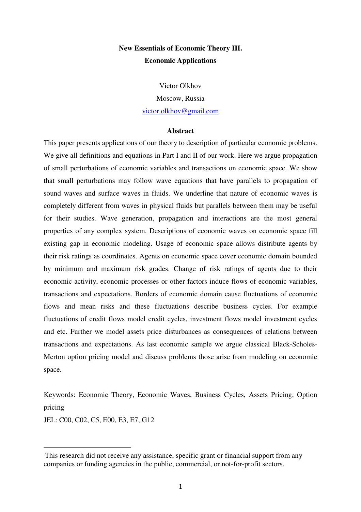## **New Essentials of Economic Theory III. Economic Applications**

Victor Olkhov

Moscow, Russia

victor.olkhov@gmail.com

## **Abstract**

This paper presents applications of our theory to description of particular economic problems. We give all definitions and equations in Part I and II of our work. Here we argue propagation of small perturbations of economic variables and transactions on economic space. We show that small perturbations may follow wave equations that have parallels to propagation of sound waves and surface waves in fluids. We underline that nature of economic waves is completely different from waves in physical fluids but parallels between them may be useful for their studies. Wave generation, propagation and interactions are the most general properties of any complex system. Descriptions of economic waves on economic space fill existing gap in economic modeling. Usage of economic space allows distribute agents by their risk ratings as coordinates. Agents on economic space cover economic domain bounded by minimum and maximum risk grades. Change of risk ratings of agents due to their economic activity, economic processes or other factors induce flows of economic variables, transactions and expectations. Borders of economic domain cause fluctuations of economic flows and mean risks and these fluctuations describe business cycles. For example fluctuations of credit flows model credit cycles, investment flows model investment cycles and etc. Further we model assets price disturbances as consequences of relations between transactions and expectations. As last economic sample we argue classical Black-Scholes-Merton option pricing model and discuss problems those arise from modeling on economic space.

Keywords: Economic Theory, Economic Waves, Business Cycles, Assets Pricing, Option pricing

JEL: C00, C02, C5, E00, E3, E7, G12

 $\overline{a}$ 

This research did not receive any assistance, specific grant or financial support from any companies or funding agencies in the public, commercial, or not-for-profit sectors.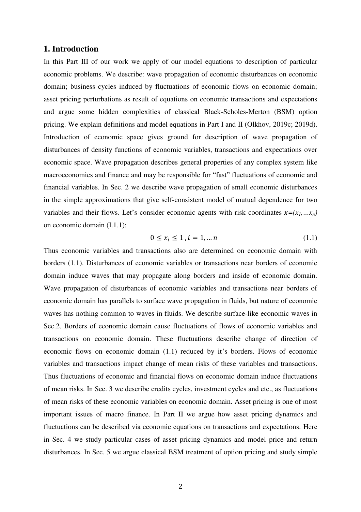## **1. Introduction**

In this Part III of our work we apply of our model equations to description of particular economic problems. We describe: wave propagation of economic disturbances on economic domain; business cycles induced by fluctuations of economic flows on economic domain; asset pricing perturbations as result of equations on economic transactions and expectations and argue some hidden complexities of classical Black-Scholes-Merton (BSM) option pricing. We explain definitions and model equations in Part I and II (Olkhov, 2019c; 2019d). Introduction of economic space gives ground for description of wave propagation of disturbances of density functions of economic variables, transactions and expectations over economic space. Wave propagation describes general properties of any complex system like macroeconomics and finance and may be responsible for "fast" fluctuations of economic and financial variables. In Sec. 2 we describe wave propagation of small economic disturbances in the simple approximations that give self-consistent model of mutual dependence for two variables and their flows. Let's consider economic agents with risk coordinates  $x=(x_1, \ldots, x_n)$ on economic domain (I.1.1):

$$
0 \le x_i \le 1, i = 1, \dots n \tag{1.1}
$$

Thus economic variables and transactions also are determined on economic domain with borders (1.1). Disturbances of economic variables or transactions near borders of economic domain induce waves that may propagate along borders and inside of economic domain. Wave propagation of disturbances of economic variables and transactions near borders of economic domain has parallels to surface wave propagation in fluids, but nature of economic waves has nothing common to waves in fluids. We describe surface-like economic waves in Sec.2. Borders of economic domain cause fluctuations of flows of economic variables and transactions on economic domain. These fluctuations describe change of direction of economic flows on economic domain (1.1) reduced by it's borders. Flows of economic variables and transactions impact change of mean risks of these variables and transactions. Thus fluctuations of economic and financial flows on economic domain induce fluctuations of mean risks. In Sec. 3 we describe credits cycles, investment cycles and etc., as fluctuations of mean risks of these economic variables on economic domain. Asset pricing is one of most important issues of macro finance. In Part II we argue how asset pricing dynamics and fluctuations can be described via economic equations on transactions and expectations. Here in Sec. 4 we study particular cases of asset pricing dynamics and model price and return disturbances. In Sec. 5 we argue classical BSM treatment of option pricing and study simple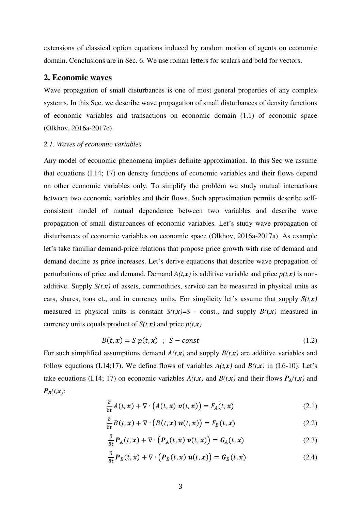extensions of classical option equations induced by random motion of agents on economic domain. Conclusions are in Sec. 6. We use roman letters for scalars and bold for vectors.

## **2. Economic waves**

Wave propagation of small disturbances is one of most general properties of any complex systems. In this Sec. we describe wave propagation of small disturbances of density functions of economic variables and transactions on economic domain (1.1) of economic space (Olkhov, 2016a-2017c).

#### *2.1. Waves of economic variables*

Any model of economic phenomena implies definite approximation. In this Sec we assume that equations (I.14; 17) on density functions of economic variables and their flows depend on other economic variables only. To simplify the problem we study mutual interactions between two economic variables and their flows. Such approximation permits describe selfconsistent model of mutual dependence between two variables and describe wave propagation of small disturbances of economic variables. Let's study wave propagation of disturbances of economic variables on economic space (Olkhov, 2016a-2017a). As example let's take familiar demand-price relations that propose price growth with rise of demand and demand decline as price increases. Let's derive equations that describe wave propagation of perturbations of price and demand. Demand  $A(t, x)$  is additive variable and price  $p(t, x)$  is nonadditive. Supply  $S(t, x)$  of assets, commodities, service can be measured in physical units as cars, shares, tons et., and in currency units. For simplicity let's assume that supply  $S(t, x)$ measured in physical units is constant  $S(t,x)=S$  - const., and supply  $B(t,x)$  measured in currency units equals product of  $S(t, x)$  and price  $p(t, x)$ 

$$
B(t, x) = S p(t, x) \quad ; \quad S - const \tag{1.2}
$$

For such simplified assumptions demand  $A(t, x)$  and supply  $B(t, x)$  are additive variables and follow equations (I.14;17). We define flows of variables  $A(t, x)$  and  $B(t, x)$  in (I.6-10). Let's take equations (I.14; 17) on economic variables  $A(t,x)$  and  $B(t,x)$  and their flows  $P_A(t,x)$  and  $P_B(t,x)$ :

$$
\frac{\partial}{\partial t}A(t,x) + \nabla \cdot \left( A(t,x) \, \mathbf{v}(t,x) \right) = F_A(t,x) \tag{2.1}
$$

$$
\frac{\partial}{\partial t}B(t,x) + \nabla \cdot (B(t,x) \, u(t,x)) = F_B(t,x) \tag{2.2}
$$

$$
\frac{\partial}{\partial t} \mathbf{P}_A(t, x) + \nabla \cdot \left( \mathbf{P}_A(t, x) \, \mathbf{v}(t, x) \right) = \mathbf{G}_A(t, x) \tag{2.3}
$$

$$
\frac{\partial}{\partial t} \boldsymbol{P}_B(t, x) + \nabla \cdot \left( \boldsymbol{P}_B(t, x) \, \boldsymbol{u}(t, x) \right) = \boldsymbol{G}_B(t, x) \tag{2.4}
$$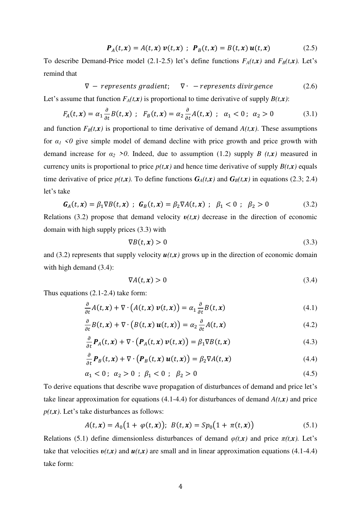$$
\boldsymbol{P}_A(t,\boldsymbol{x}) = A(t,\boldsymbol{x}) \boldsymbol{v}(t,\boldsymbol{x}) ; \ \boldsymbol{P}_B(t,\boldsymbol{x}) = B(t,\boldsymbol{x}) \boldsymbol{u}(t,\boldsymbol{x}) \qquad (2.5)
$$

To describe Demand-Price model (2.1-2.5) let's define functions  $F_A(t,x)$  and  $F_B(t,x)$ . Let's remind that

$$
\nabla - represents gradient; \quad \nabla \cdot - represents \,divigence \tag{2.6}
$$

Let's assume that function  $F_A(t, x)$  is proportional to time derivative of supply  $B(t, x)$ :

$$
F_A(t, \mathbf{x}) = \alpha_1 \frac{\partial}{\partial t} B(t, \mathbf{x}) \; ; \; F_B(t, \mathbf{x}) = \alpha_2 \frac{\partial}{\partial t} A(t, \mathbf{x}) \; ; \; \alpha_1 < 0 \; ; \; \alpha_2 > 0 \tag{3.1}
$$

and function  $F_B(t, x)$  is proportional to time derivative of demand  $A(t, x)$ . These assumptions for  $\alpha$ <sup>1</sup>  $\leq$  0 give simple model of demand decline with price growth and price growth with demand increase for  $\alpha_2 > 0$ . Indeed, due to assumption (1.2) supply *B* (*t,x*) measured in currency units is proportional to price  $p(t, x)$  and hence time derivative of supply  $B(t, x)$  equals time derivative of price  $p(t,x)$ . To define functions  $G_A(t,x)$  and  $G_B(t,x)$  in equations (2.3; 2.4) let's take

$$
G_A(t, x) = \beta_1 \nabla B(t, x) \; ; \; G_B(t, x) = \beta_2 \nabla A(t, x) \; ; \; \beta_1 < 0 \; ; \; \beta_2 > 0 \tag{3.2}
$$

Relations (3.2) propose that demand velocity  $v(t,x)$  decrease in the direction of economic domain with high supply prices (3.3) with

$$
\nabla B(t, x) > 0 \tag{3.3}
$$

and (3.2) represents that supply velocity  $u(t,x)$  grows up in the direction of economic domain with high demand  $(3.4)$ :

$$
\nabla A(t, x) > 0 \tag{3.4}
$$

Thus equations (2.1-2.4) take form:

$$
\frac{\partial}{\partial t}A(t,x) + \nabla \cdot \left( A(t,x) \, \mathbf{v}(t,x) \right) = \alpha_1 \frac{\partial}{\partial t} B(t,x) \tag{4.1}
$$

$$
\frac{\partial}{\partial t}B(t,x) + \nabla \cdot (B(t,x) \, u(t,x)) = \alpha_2 \frac{\partial}{\partial t}A(t,x) \tag{4.2}
$$

$$
\frac{\partial}{\partial t} \mathbf{P}_A(t, x) + \nabla \cdot \left( \mathbf{P}_A(t, x) \, \mathbf{v}(t, x) \right) = \beta_1 \nabla B(t, x) \tag{4.3}
$$

$$
\frac{\partial}{\partial t} \boldsymbol{P}_B(t, x) + \nabla \cdot \left( \boldsymbol{P}_B(t, x) \, \boldsymbol{u}(t, x) \right) = \beta_2 \nabla A(t, x) \tag{4.4}
$$

$$
\alpha_1 < 0 \; ; \; \alpha_2 > 0 \; ; \; \beta_1 < 0 \; ; \; \beta_2 > 0 \tag{4.5}
$$

To derive equations that describe wave propagation of disturbances of demand and price let's take linear approximation for equations (4.1-4.4) for disturbances of demand  $A(t, x)$  and price  $p(t, x)$ . Let's take disturbances as follows:

$$
A(t, x) = A_0(1 + \varphi(t, x)); \ B(t, x) = Sp_0(1 + \pi(t, x))
$$
\n(5.1)

Relations (5.1) define dimensionless disturbances of demand  $\varphi(t,x)$  and price  $\pi(t,x)$ . Let's take that velocities  $v(t, x)$  and  $u(t, x)$  are small and in linear approximation equations (4.1-4.4) take form: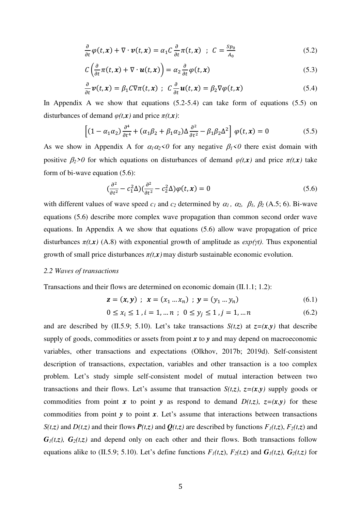$$
\frac{\partial}{\partial t}\varphi(t,x) + \nabla \cdot \boldsymbol{v}(t,x) = \alpha_1 C \frac{\partial}{\partial t} \pi(t,x) \quad ; \quad C = \frac{Sp_0}{A_0} \tag{5.2}
$$

$$
C\left(\frac{\partial}{\partial t}\pi(t,x) + \nabla \cdot \boldsymbol{u}(t,x)\right) = \alpha_2 \frac{\partial}{\partial t} \varphi(t,x) \tag{5.3}
$$

$$
\frac{\partial}{\partial t}\mathbf{v}(t,\mathbf{x}) = \beta_1 C \nabla \pi(t,\mathbf{x}) \ ; \ C \frac{\partial}{\partial t} \mathbf{u}(t,\mathbf{x}) = \beta_2 \nabla \varphi(t,\mathbf{x}) \tag{5.4}
$$

In Appendix A we show that equations  $(5.2-5.4)$  can take form of equations  $(5.5)$  on disturbances of demand  $\varphi(t, x)$  and price  $\pi(t, x)$ :

$$
\left[ (1 - \alpha_1 \alpha_2) \frac{\partial^4}{\partial t^4} + (\alpha_1 \beta_2 + \beta_1 \alpha_2) \Delta \frac{\partial^2}{\partial t^2} - \beta_1 \beta_2 \Delta^2 \right] \varphi(t, x) = 0 \tag{5.5}
$$

As we show in Appendix A for  $\alpha_1 \alpha_2 < 0$  for any negative  $\beta_1 < 0$  there exist domain with positive  $\beta_2 > 0$  for which equations on disturbances of demand  $\varphi(t, x)$  and price  $\pi(t, x)$  take form of bi-wave equation (5.6):

$$
\left(\frac{\partial^2}{\partial t^2} - c_1^2 \Delta\right) \left(\frac{\partial^2}{\partial t^2} - c_2^2 \Delta\right) \varphi(t, \mathbf{x}) = 0 \tag{5.6}
$$

with different values of wave speed  $c_1$  and  $c_2$  determined by  $\alpha_1$ ,  $\alpha_2$ ,  $\beta_1$ ,  $\beta_2$  (A.5; 6). Bi-wave equations (5.6) describe more complex wave propagation than common second order wave equations. In Appendix A we show that equations (5.6) allow wave propagation of price disturbances  $\pi(t, x)$  (A.8) with exponential growth of amplitude as  $exp(\gamma t)$ . Thus exponential growth of small price disturbances  $\pi(t, x)$  may disturb sustainable economic evolution.

### *2.2 Waves of transactions*

Transactions and their flows are determined on economic domain (II.1.1; 1.2):

$$
\mathbf{z} = (\mathbf{x}, \mathbf{y}) \; ; \; \mathbf{x} = (x_1 \dots x_n) \; ; \; \mathbf{y} = (y_1 \dots y_n) \tag{6.1}
$$

$$
0 \le x_i \le 1, i = 1, \dots n \; ; \; 0 \le y_j \le 1, j = 1, \dots n \tag{6.2}
$$

and are described by (II.5.9; 5.10). Let's take transactions  $S(t,z)$  at  $z=(x,y)$  that describe supply of goods, commodities or assets from point *x* to *y* and may depend on macroeconomic variables, other transactions and expectations (Olkhov, 2017b; 2019d). Self-consistent description of transactions, expectation, variables and other transaction is a too complex problem. Let's study simple self-consistent model of mutual interaction between two transactions and their flows. Let's assume that transaction  $S(t,z)$ ,  $z=(x,y)$  supply goods or commodities from point *x* to point *y* as respond to demand  $D(t,z)$ ,  $z=(x,y)$  for these commodities from point *y* to point *x*. Let's assume that interactions between transactions  $S(t,z)$  and  $D(t,z)$  and their flows  $P(t,z)$  and  $Q(t,z)$  are described by functions  $F_1(t,z)$ ,  $F_2(t,z)$  and  $G_1(t,z)$ ,  $G_2(t,z)$  and depend only on each other and their flows. Both transactions follow equations alike to (II.5.9; 5.10). Let's define functions  $F_1(t,z)$ ,  $F_2(t,z)$  and  $G_1(t,z)$ ,  $G_2(t,z)$  for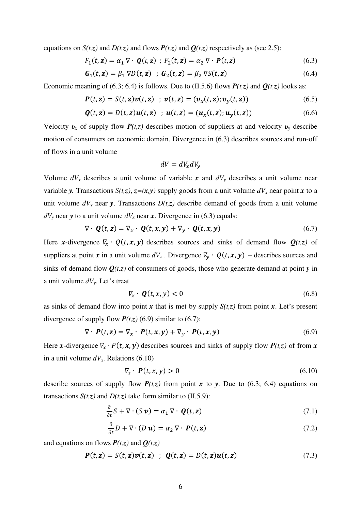equations on *S*(*t*,*z*) and *D*(*t*,*z*) and flows *P*(*t*,*z*) and *Q*(*t*,*z*) respectively as (see 2.5):

$$
F_1(t, \mathbf{z}) = \alpha_1 \nabla \cdot \boldsymbol{Q}(t, \mathbf{z}) \; ; \; F_2(t, \mathbf{z}) = \alpha_2 \nabla \cdot \boldsymbol{P}(t, \mathbf{z}) \tag{6.3}
$$

$$
\mathbf{G}_1(t, \mathbf{z}) = \beta_1 \nabla D(t, \mathbf{z}) \quad ; \quad \mathbf{G}_2(t, \mathbf{z}) = \beta_2 \nabla S(t, \mathbf{z}) \tag{6.4}
$$

Economic meaning of (6.3; 6.4) is follows. Due to (II.5.6) flows  $P(t,z)$  and  $Q(t,z)$  looks as:

$$
\boldsymbol{P}(t,\mathbf{z}) = S(t,\mathbf{z})\boldsymbol{v}(t,\mathbf{z}) \; ; \; \boldsymbol{v}(t,\mathbf{z}) = (\boldsymbol{v}_x(t,\mathbf{z});\boldsymbol{v}_y(t,\mathbf{z})) \tag{6.5}
$$

$$
\boldsymbol{Q}(t,\mathbf{z}) = D(t,\mathbf{z})\boldsymbol{u}(t,\mathbf{z}) \quad ; \ \boldsymbol{u}(t,\mathbf{z}) = (\boldsymbol{u}_x(t,\mathbf{z});\boldsymbol{u}_y(t,\mathbf{z})) \tag{6.6}
$$

Velocity  $v_x$  of supply flow  $P(t,z)$  describes motion of suppliers at and velocity  $v_y$  describe motion of consumers on economic domain. Divergence in (6.3) describes sources and run-off of flows in a unit volume

$$
dV = dV_x dV_y
$$

Volume  $dV_x$  describes a unit volume of variable x and  $dV_y$  describes a unit volume near variable *y*. Transactions  $S(t,z)$ ,  $z=(x,y)$  supply goods from a unit volume  $dV_x$  near point *x* to a unit volume  $dV_y$  near *y*. Transactions  $D(t,z)$  describe demand of goods from a unit volume  $dV$ <sup>*y*</sup> near *y* to a unit volume  $dV$ <sup>*x*</sup> near *x*. Divergence in (6.3) equals:

$$
\nabla \cdot \boldsymbol{Q}(t, \mathbf{z}) = \nabla_{\mathbf{x}} \cdot \boldsymbol{Q}(t, \mathbf{x}, \mathbf{y}) + \nabla_{\mathbf{y}} \cdot \boldsymbol{Q}(t, \mathbf{x}, \mathbf{y}) \tag{6.7}
$$

Here *x*-divergence  $\nabla$ <sub>*x*</sub>  $\cdot$   $Q$ (*t*, *x*, *y*) describes sources and sinks of demand flow  $Q$ (*t*,*z*) of suppliers at point *x* in a unit volume  $dV_x$ . Divergence  $\overline{V}_y \cdot Q(t, x, y)$  – describes sources and sinks of demand flow  $Q(t, z)$  of consumers of goods, those who generate demand at point *y* in a unit volume *dVy*. Let's treat

$$
\nabla_x \cdot \boldsymbol{Q}(t, x, y) < 0 \tag{6.8}
$$

as sinks of demand flow into point  $x$  that is met by supply  $S(t,z)$  from point  $x$ . Let's present divergence of supply flow  $P(t,z)$  (6.9) similar to (6.7):

$$
\nabla \cdot \boldsymbol{P}(t, \mathbf{z}) = \nabla_{\mathbf{x}} \cdot \boldsymbol{P}(t, \mathbf{x}, \mathbf{y}) + \nabla_{\mathbf{y}} \cdot \boldsymbol{P}(t, \mathbf{x}, \mathbf{y}) \tag{6.9}
$$

Here *x*-divergence  $\nabla_x \cdot P(t, x, y)$  describes sources and sinks of supply flow  $P(t, z)$  of from *x* in a unit volume  $dV_x$ . Relations (6.10)

$$
\nabla_x \cdot \boldsymbol{P}(t, x, y) > 0 \tag{6.10}
$$

describe sources of supply flow  $P(t,z)$  from point x to y. Due to (6.3; 6.4) equations on transactions  $S(t,z)$  and  $D(t,z)$  take form similar to (II.5.9):

$$
\frac{\partial}{\partial t} S + \nabla \cdot (S \, \mathbf{v}) = \alpha_1 \, \nabla \cdot \, \mathbf{Q}(t, \mathbf{z}) \tag{7.1}
$$

$$
\frac{\partial}{\partial t}D + \nabla \cdot (D \mathbf{u}) = \alpha_2 \nabla \cdot \mathbf{P}(t, \mathbf{z}) \tag{7.2}
$$

and equations on flows  $P(t,z)$  and  $Q(t,z)$ 

$$
\boldsymbol{P}(t,\mathbf{z}) = S(t,\mathbf{z})\boldsymbol{v}(t,\mathbf{z}) \hspace{0.2cm}; \hspace{0.2cm} \boldsymbol{Q}(t,\mathbf{z}) = D(t,\mathbf{z})\boldsymbol{u}(t,\mathbf{z}) \hspace{1cm} (7.3)
$$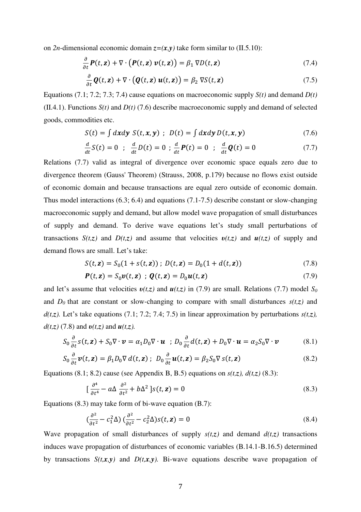on 2*n*-dimensional economic domain  $z=(x,y)$  take form similar to (II.5.10):

$$
\frac{\partial}{\partial t} \boldsymbol{P}(t, \mathbf{z}) + \nabla \cdot (\boldsymbol{P}(t, \mathbf{z}) \, \boldsymbol{v}(t, \mathbf{z})) = \beta_1 \, \nabla D(t, \mathbf{z}) \tag{7.4}
$$

$$
\frac{\partial}{\partial t} \boldsymbol{Q}(t, \mathbf{z}) + \nabla \cdot (\boldsymbol{Q}(t, \mathbf{z}) \, \boldsymbol{u}(t, \mathbf{z})) = \beta_2 \, \nabla S(t, \mathbf{z}) \tag{7.5}
$$

Equations (7.1; 7.2; 7.3; 7.4) cause equations on macroeconomic supply *S(t)* and demand *D(t)* (II.4.1). Functions *S(t)* and *D(t)* (7.6) describe macroeconomic supply and demand of selected goods, commodities etc.

$$
S(t) = \int dx dy S(t, x, y) ; D(t) = \int dx dy D(t, x, y)
$$
 (7.6)

$$
\frac{d}{dt}S(t) = 0 \; ; \; \frac{d}{dt}D(t) = 0 \; ; \; \frac{d}{dt}P(t) = 0 \; ; \; \frac{d}{dt}Q(t) = 0 \tag{7.7}
$$

Relations (7.7) valid as integral of divergence over economic space equals zero due to divergence theorem (Gauss' Theorem) (Strauss, 2008, p.179) because no flows exist outside of economic domain and because transactions are equal zero outside of economic domain. Thus model interactions (6.3; 6.4) and equations (7.1-7.5) describe constant or slow-changing macroeconomic supply and demand, but allow model wave propagation of small disturbances of supply and demand. To derive wave equations let's study small perturbations of transactions *S*(*t,z*) and *D*(*t,z*) and assume that velocities  $v(t,z)$  and  $u(t,z)$  of supply and demand flows are small. Let's take:

$$
S(t, z) = S_0(1 + s(t, z)) \; ; \; D(t, z) = D_0(1 + d(t, z)) \tag{7.8}
$$

$$
\boldsymbol{P}(t,\mathbf{z}) = S_0 \boldsymbol{v}(t,\mathbf{z}) \; ; \; \boldsymbol{Q}(t,\mathbf{z}) = D_0 \boldsymbol{u}(t,\mathbf{z}) \tag{7.9}
$$

and let's assume that velocities  $v(t,z)$  and  $u(t,z)$  in (7.9) are small. Relations (7.7) model  $S_0$ and  $D_0$  that are constant or slow-changing to compare with small disturbances  $s(t,z)$  and  $d(t,z)$ . Let's take equations (7.1; 7.2; 7.4; 7.5) in linear approximation by perturbations  $s(t,z)$ , *d(t,z)* (7.8) and *υ(t,z)* and *u(t,z).*

$$
S_0 \frac{\partial}{\partial t} s(t, \mathbf{z}) + S_0 \nabla \cdot \mathbf{v} = \alpha_1 D_0 \nabla \cdot \mathbf{u} \quad ; \quad D_0 \frac{\partial}{\partial t} d(t, \mathbf{z}) + D_0 \nabla \cdot \mathbf{u} = \alpha_2 S_0 \nabla \cdot \mathbf{v} \tag{8.1}
$$

$$
S_0 \frac{\partial}{\partial t} \mathbf{v}(t, \mathbf{z}) = \beta_1 D_0 \nabla d(t, \mathbf{z}) ; D_0 \frac{\partial}{\partial t} \mathbf{u}(t, \mathbf{z}) = \beta_2 S_0 \nabla s(t, \mathbf{z})
$$
(8.2)

Equations (8.1; 8.2) cause (see Appendix B, B.5) equations on  $s(t,z)$ ,  $d(t,z)$  (8.3):

$$
\left[\frac{\partial^4}{\partial t^4} - a\Delta \frac{\partial^2}{\partial t^2} + b\Delta^2\right] s(t, \mathbf{z}) = 0
$$
\n(8.3)

Equations (8.3) may take form of bi-wave equation (B.7):

$$
\left(\frac{\partial^2}{\partial t^2} - c_1^2 \Delta\right) \left(\frac{\partial^2}{\partial t^2} - c_2^2 \Delta\right) s(t, \mathbf{z}) = 0 \tag{8.4}
$$

Wave propagation of small disturbances of supply  $s(t,z)$  and demand  $d(t,z)$  transactions induces wave propagation of disturbances of economic variables (B.14.1-B.16.5) determined by transactions  $S(t, x, y)$  and  $D(t, x, y)$ . Bi-wave equations describe wave propagation of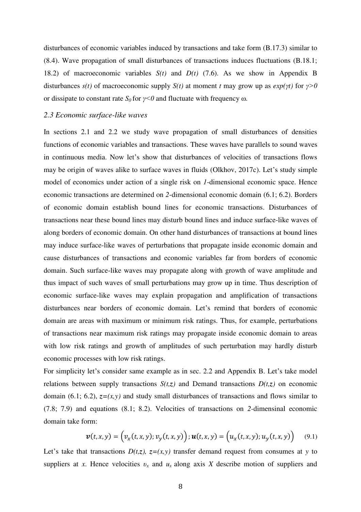disturbances of economic variables induced by transactions and take form (B.17.3) similar to (8.4). Wave propagation of small disturbances of transactions induces fluctuations (B.18.1; 18.2) of macroeconomic variables *S(t)* and *D(t)* (7.6). As we show in Appendix B disturbances  $s(t)$  of macroeconomic supply  $S(t)$  at moment *t* may grow up as  $exp(\gamma t)$  for  $\gamma > 0$ or dissipate to constant rate *S*<sup>0</sup> for *γ*<*0* and fluctuate with frequency ω.

#### *2.3 Economic surface-like waves*

In sections 2.1 and 2.2 we study wave propagation of small disturbances of densities functions of economic variables and transactions. These waves have parallels to sound waves in continuous media. Now let's show that disturbances of velocities of transactions flows may be origin of waves alike to surface waves in fluids (Olkhov, 2017c). Let's study simple model of economics under action of a single risk on *1*-dimensional economic space. Hence economic transactions are determined on *2*-dimensional economic domain (6.1; 6.2). Borders of economic domain establish bound lines for economic transactions. Disturbances of transactions near these bound lines may disturb bound lines and induce surface-like waves of along borders of economic domain. On other hand disturbances of transactions at bound lines may induce surface-like waves of perturbations that propagate inside economic domain and cause disturbances of transactions and economic variables far from borders of economic domain. Such surface-like waves may propagate along with growth of wave amplitude and thus impact of such waves of small perturbations may grow up in time. Thus description of economic surface-like waves may explain propagation and amplification of transactions disturbances near borders of economic domain. Let's remind that borders of economic domain are areas with maximum or minimum risk ratings. Thus, for example, perturbations of transactions near maximum risk ratings may propagate inside economic domain to areas with low risk ratings and growth of amplitudes of such perturbation may hardly disturb economic processes with low risk ratings.

For simplicity let's consider same example as in sec. 2.2 and Appendix B. Let's take model relations between supply transactions  $S(t, z)$  and Demand transactions  $D(t, z)$  on economic domain (6.1; 6.2),  $z=(x,y)$  and study small disturbances of transactions and flows similar to (7.8; 7.9) and equations (8.1; 8.2). Velocities of transactions on *2-*dimensinal economic domain take form:

$$
\boldsymbol{v}(t,x,y) = \Big(v_x(t,x,y); v_y(t,x,y)\Big); \boldsymbol{u}(t,x,y) = \Big(u_x(t,x,y); u_y(t,x,y)\Big) \tag{9.1}
$$

Let's take that transactions  $D(t,z)$ ,  $z=(x,y)$  transfer demand request from consumes at *y* to suppliers at *x*. Hence velocities  $v_x$  and  $u_x$  along axis *X* describe motion of suppliers and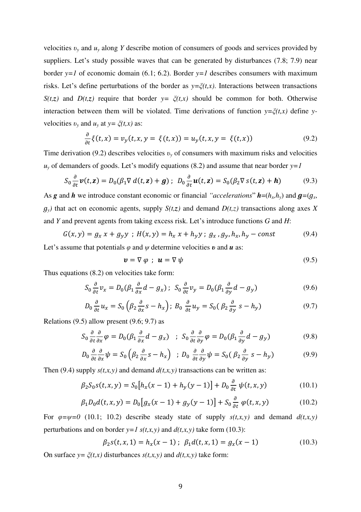velocities *υ<sup>y</sup>* and *uy* along *Y* describe motion of consumers of goods and services provided by suppliers. Let's study possible waves that can be generated by disturbances (7.8; 7.9) near border  $y=1$  of economic domain (6.1; 6.2). Border  $y=1$  describes consumers with maximum risks. Let's define perturbations of the border as *y=ξ(t,x)*. Interactions between transactions *S(t,z)* and *D(t,z)* require that border  $y = \zeta(t,x)$  should be common for both. Otherwise interaction between them will be violated. Time derivations of function  $y = \xi(t, x)$  define *y*velocities  $v_y$  and  $u_y$  at  $y = \xi(t, x)$  as:

$$
\frac{\partial}{\partial t}\xi(t,x) = v_y(t,x,y) = \xi(t,x) = u_y(t,x,y) = \xi(t,x)
$$
\n(9.2)

Time derivation (9.2) describes velocities  $v_y$  of consumers with maximum risks and velocities  $u<sub>y</sub>$  of demanders of goods. Let's modify equations (8.2) and assume that near border  $y=1$ 

$$
S_0 \frac{\partial}{\partial t} \mathbf{v}(t, \mathbf{z}) = D_0(\beta_1 \nabla d(t, \mathbf{z}) + \mathbf{g}); \ D_0 \frac{\partial}{\partial t} \mathbf{u}(t, \mathbf{z}) = S_0(\beta_2 \nabla s(t, \mathbf{z}) + \mathbf{h}) \tag{9.3}
$$

As *g* **and** *h* we introduce constant economic or financial "*accelerations*"  $h=(h_x,h_y)$  and  $g=(g_x, g_y)$  $g_y$ *)* that act on economic agents, supply  $S(t,z)$  and demand  $D(t,z)$  transactions along axes *X* and *Y* and prevent agents from taking excess risk. Let's introduce functions *G* and *H*:

$$
G(x, y) = g_x x + g_y y ; H(x, y) = h_x x + h_y y ; g_x, g_y, h_x, h_y - const
$$
 (9.4)

Let's assume that potentials  $\varphi$  and  $\psi$  determine velocities  $v$  and  $u$  as:

$$
\mathbf{v} = \nabla \varphi \; ; \; \mathbf{u} = \nabla \psi \tag{9.5}
$$

Thus equations (8.2) on velocities take form:

$$
S_0 \frac{\partial}{\partial t} v_x = D_0 (\beta_1 \frac{\partial}{\partial x} d - g_x); \ S_0 \frac{\partial}{\partial t} v_y = D_0 (\beta_1 \frac{\partial}{\partial y} d - g_y)
$$
(9.6)

$$
D_0 \frac{\partial}{\partial t} u_x = S_0 \left( \beta_2 \frac{\partial}{\partial x} s - h_x \right); \ B_0 \frac{\partial}{\partial t} u_y = S_0 \left( \beta_2 \frac{\partial}{\partial y} s - h_y \right) \tag{9.7}
$$

Relations (9.5) allow present (9.6; 9.7) as

$$
S_0 \frac{\partial}{\partial t} \frac{\partial}{\partial x} \varphi = D_0 (\beta_1 \frac{\partial}{\partial x} d - g_x) \quad ; \quad S_0 \frac{\partial}{\partial t} \frac{\partial}{\partial y} \varphi = D_0 (\beta_1 \frac{\partial}{\partial y} d - g_y) \tag{9.8}
$$

$$
D_0 \frac{\partial}{\partial t} \frac{\partial}{\partial x} \psi = S_0 \left( \beta_2 \frac{\partial}{\partial x} s - h_x \right) \ ; \ D_0 \frac{\partial}{\partial t} \frac{\partial}{\partial y} \psi = S_0 \left( \beta_2 \frac{\partial}{\partial y} s - h_y \right) \tag{9.9}
$$

Then (9.4) supply  $s(t,x,y)$  and demand  $d(t,x,y)$  transactions can be written as:

$$
\beta_2 S_0 s(t, x, y) = S_0 \left[ h_x(x - 1) + h_y(y - 1) \right] + D_0 \frac{\partial}{\partial t} \psi(t, x, y) \tag{10.1}
$$

$$
\beta_1 D_0 d(t, x, y) = D_0 [g_x (x - 1) + g_y (y - 1)] + S_0 \frac{\partial}{\partial t} \varphi(t, x, y)
$$
(10.2)

For  $\varphi = \psi = 0$  (10.1; 10.2) describe steady state of supply  $s(t, x, y)$  and demand  $d(t, x, y)$ perturbations and on border  $y=1$   $s(t,x,y)$  and  $d(t,x,y)$  take form (10.3):

$$
\beta_2 s(t, x, 1) = h_x(x - 1); \ \beta_1 d(t, x, 1) = g_x(x - 1) \tag{10.3}
$$

On surface  $y = \zeta(t,x)$  disturbances  $s(t,x,y)$  and  $d(t,x,y)$  take form: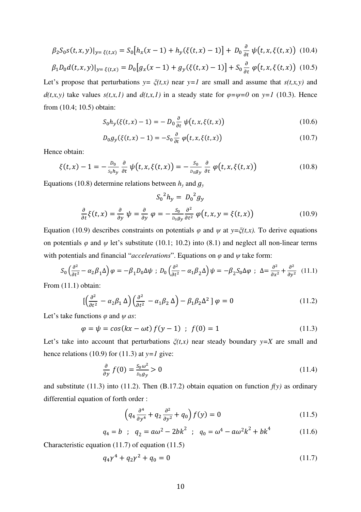$$
\beta_2 S_0 s(t, x, y)|_{y=\xi(t, x)} = S_0 \big[ h_x(x - 1) + h_y(\xi(t, x) - 1) \big] + D_0 \frac{\partial}{\partial t} \psi(t, x, \xi(t, x)) \tag{10.4}
$$

$$
\beta_1 D_0 d(t, x, y)|_{y=\xi(t, x)} = D_0 [g_x(x-1) + g_y(\xi(t, x) - 1)] + S_0 \frac{\partial}{\partial t} \varphi(t, x, \xi(t, x))
$$
(10.5)

Let's propose that perturbations  $y = \zeta(t,x)$  near  $y=1$  are small and assume that  $s(t,x,y)$  and *d*(*t,x,y*) take values *s*(*t,x,1*) and *d*(*t,x,1*) in a steady state for  $\varphi = \psi = 0$  on  $y = 1$  (10.3). Hence from (10.4; 10.5) obtain:

$$
S_0 h_y(\xi(t, x) - 1) = - D_0 \frac{\partial}{\partial t} \psi(t, x, \xi(t, x))
$$
\n(10.6)

$$
D_0 g_y(\xi(t, x) - 1) = -S_0 \frac{\partial}{\partial t} \varphi(t, x, \xi(t, x))
$$
\n(10.7)

Hence obtain:

$$
\xi(t,x)-1=-\frac{D_0}{s_0h_y}\frac{\partial}{\partial t}\,\psi\big(t,x,\xi(t,x)\big)=-\frac{s_0}{s_0g_y}\frac{\partial}{\partial t}\,\varphi\big(t,x,\xi(t,x)\big) \tag{10.8}
$$

Equations (10.8) determine relations between  $h_y$  and  $g_y$ 

$$
S_0{}^2 h_y = D_0{}^2 g_y
$$
  

$$
\frac{\partial}{\partial t} \xi(t, x) = \frac{\partial}{\partial y} \psi = \frac{\partial}{\partial y} \varphi = -\frac{S_0}{D_0 g_y} \frac{\partial^2}{\partial t^2} \varphi(t, x, y = \xi(t, x))
$$
(10.9)

Equation (10.9) describes constraints on potentials  $\varphi$  and  $\psi$  at  $y = \zeta(t, x)$ . To derive equations on potentials  $\varphi$  and  $\psi$  let's substitute (10.1; 10.2) into (8.1) and neglect all non-linear terms with potentials and financial "*accelerations*". Equations on *φ* and *ψ* take form:

$$
S_0 \left(\frac{\partial^2}{\partial t^2} - \alpha_2 \beta_1 \Delta\right) \varphi = -\beta_1 D_0 \Delta \psi \; ; \; D_0 \left(\frac{\partial^2}{\partial t^2} - \alpha_1 \beta_2 \Delta\right) \psi = -\beta_2 S_0 \Delta \varphi \; ; \; \Delta = \frac{\partial^2}{\partial x^2} + \frac{\partial^2}{\partial y^2} \quad (11.1)
$$

From  $(11.1)$  obtain:

$$
\left[\left(\frac{\partial^2}{\partial t^2} - \alpha_2 \beta_1 \Delta\right) \left(\frac{\partial^2}{\partial t^2} - \alpha_1 \beta_2 \Delta\right) - \beta_1 \beta_2 \Delta^2 \right] \varphi = 0 \tag{11.2}
$$

Let's take functions  $\varphi$  and  $\psi$  *as*:

$$
\varphi = \psi = \cos(kx - \omega t) f(y - 1) \; ; \; f(0) = 1 \tag{11.3}
$$

Let's take into account that perturbations  $\xi(t,x)$  near steady boundary  $y=X$  are small and hence relations (10.9) for (11.3) at  $y=1$  give:

$$
\frac{\partial}{\partial y} f(0) = \frac{S_0 \omega^2}{D_0 g_y} > 0 \tag{11.4}
$$

and substitute (11.3) into (11.2). Then  $(B.17.2)$  obtain equation on function  $f(y)$  as ordinary differential equation of forth order :

$$
\left(q_4 \frac{\partial^4}{\partial y^4} + q_2 \frac{\partial^2}{\partial y^2} + q_0\right) f(y) = 0\tag{11.5}
$$

$$
q_4 = b \; ; \; q_2 = a\omega^2 - 2bk^2 \; ; \; q_0 = \omega^4 - a\omega^2k^2 + bk^4 \tag{11.6}
$$

Characteristic equation (11.7) of equation (11.5)

$$
q_4\gamma^4 + q_2\gamma^2 + q_0 = 0\tag{11.7}
$$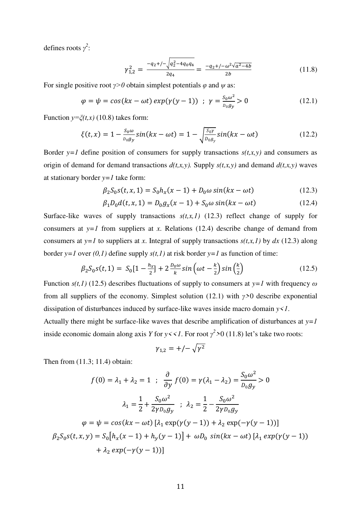defines roots *γ 2* :

$$
\gamma_{1,2}^2 = \frac{-q_2 + (-\sqrt{q_2^2 - 4q_0 q_4})}{2q_4} = \frac{-q_2 + (-\omega^2 \sqrt{a^2 - 4b})}{2b} \tag{11.8}
$$

For single positive root  $\gamma$ >0 obtain simplest potentials  $\varphi$  and  $\psi$  as:

$$
\varphi = \psi = \cos(kx - \omega t) \exp(\gamma(y - 1)) \quad ; \quad \gamma = \frac{s_0 \omega^2}{p_0 g_y} > 0 \tag{12.1}
$$

Function  $y = \xi(t, x)$  (10.8) takes form:

$$
\xi(t,x) = 1 - \frac{S_0 \omega}{D_0 g_y} \sin(kx - \omega t) = 1 - \sqrt{\frac{S_0 \gamma}{D_0 g_y}} \sin(kx - \omega t)
$$
 (12.2)

Border  $y=1$  define position of consumers for supply transactions  $s(t,x,y)$  and consumers as origin of demand for demand transactions  $d(t, x, y)$ . Supply  $s(t, x, y)$  and demand  $d(t, x, y)$  waves at stationary border  $y=1$  take form:

$$
\beta_2 S_0 s(t, x, 1) = S_0 h_x(x - 1) + D_0 \omega \sin(kx - \omega t)
$$
\n(12.3)

$$
\beta_1 D_0 d(t, x, 1) = D_0 g_x(x - 1) + S_0 \omega \sin(kx - \omega t)
$$
\n(12.4)

Surface-like waves of supply transactions  $s(t, x, 1)$  (12.3) reflect change of supply for consumers at  $y=1$  from suppliers at *x*. Relations (12.4) describe change of demand from consumers at *y*=*l* to suppliers at *x*. Integral of supply transactions  $s(t,x,l)$  by  $dx$  (12.3) along border *y*=*l* over  $(0,1)$  define supply  $s(t,1)$  at risk border *y*=*l* as function of time:

$$
\beta_2 S_0 s(t, 1) = S_0 [1 - \frac{h_x}{2}] + 2 \frac{b_0 \omega}{k} \sin \left(\omega t - \frac{k}{2}\right) \sin \left(\frac{k}{2}\right) \tag{12.5}
$$

Function  $s(t,1)$  (12.5) describes fluctuations of supply to consumers at  $y=1$  with frequency  $\omega$ from all suppliers of the economy. Simplest solution (12.1) with *γ>*0 describe exponential dissipation of disturbances induced by surface-like waves inside macro domain *y<1*.

Actually there might be surface-like waves that describe amplification of disturbances at *y=1* inside economic domain along axis *Y* for  $y \leq 1$ . For root  $\gamma^2 > 0$  (11.8) let's take two roots:

$$
\gamma_{1,2}=+/-\sqrt{\gamma^2}
$$

Then from (11.3; 11.4) obtain:

$$
f(0) = \lambda_1 + \lambda_2 = 1 \; ; \; \frac{\partial}{\partial y} f(0) = \gamma(\lambda_1 - \lambda_2) = \frac{S_0 \omega^2}{D_0 g_y} > 0
$$
  

$$
\lambda_1 = \frac{1}{2} + \frac{S_0 \omega^2}{2 \gamma D_0 g_y} \; ; \; \lambda_2 = \frac{1}{2} - \frac{S_0 \omega^2}{2 \gamma D_0 g_y}
$$
  

$$
\varphi = \psi = \cos(kx - \omega t) [\lambda_1 \exp(\gamma(y - 1)) + \lambda_2 \exp(-\gamma(y - 1))]
$$
  

$$
\beta_2 S_0 s(t, x, y) = S_0 [h_x(x - 1) + h_y(y - 1)] + \omega D_0 \sin(kx - \omega t) [\lambda_1 \exp(\gamma(y - 1)) + \lambda_2 \exp(-\gamma(y - 1))]
$$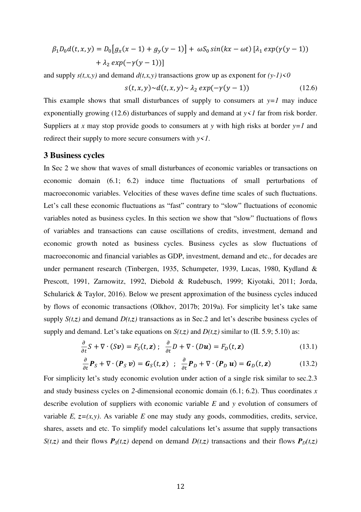$$
\beta_1 D_0 d(t, x, y) = D_0 [g_x (x - 1) + g_y (y - 1)] + \omega S_0 \sin(kx - \omega t) [\lambda_1 \exp(\gamma (y - 1)) + \lambda_2 \exp(-\gamma (y - 1))]
$$

and supply  $s(t,x,y)$  and demand  $d(t,x,y)$  transactions grow up as exponent for  $(y-1) < 0$ 

$$
s(t, x, y) \sim d(t, x, y) \sim \lambda_2 \exp(-\gamma(y - 1)) \tag{12.6}
$$

This example shows that small disturbances of supply to consumers at  $y=1$  may induce exponentially growing (12.6) disturbances of supply and demand at  $y \le l$  far from risk border. Suppliers at *x* may stop provide goods to consumers at *y* with high risks at border *y=1* and redirect their supply to more secure consumers with *y<1*.

## **3 Business cycles**

In Sec 2 we show that waves of small disturbances of economic variables or transactions on economic domain (6.1; 6.2) induce time fluctuations of small perturbations of macroeconomic variables. Velocities of these waves define time scales of such fluctuations. Let's call these economic fluctuations as "fast" contrary to "slow" fluctuations of economic variables noted as business cycles. In this section we show that "slow" fluctuations of flows of variables and transactions can cause oscillations of credits, investment, demand and economic growth noted as business cycles. Business cycles as slow fluctuations of macroeconomic and financial variables as GDP, investment, demand and etc., for decades are under permanent research (Tinbergen, 1935, Schumpeter, 1939, Lucas, 1980, Kydland & Prescott, 1991, Zarnowitz, 1992, Diebold & Rudebusch, 1999; Kiyotaki, 2011; Jorda, Schularick & Taylor, 2016). Below we present approximation of the business cycles induced by flows of economic transactions (Olkhov, 2017b; 2019a). For simplicity let's take same supply  $S(t, z)$  and demand  $D(t, z)$  transactions as in Sec.2 and let's describe business cycles of supply and demand. Let's take equations on  $S(t,z)$  and  $D(t,z)$  similar to (II. 5.9; 5.10) as:

$$
\frac{\partial}{\partial t} S + \nabla \cdot (Sv) = F_S(t, \mathbf{z}) \; ; \; \frac{\partial}{\partial t} D + \nabla \cdot (D\mathbf{u}) = F_D(t, \mathbf{z}) \tag{13.1}
$$

$$
\frac{\partial}{\partial t} \boldsymbol{P}_S + \nabla \cdot (\boldsymbol{P}_S \, \boldsymbol{v}) = \boldsymbol{G}_S(t, \mathbf{z}) \; ; \; \frac{\partial}{\partial t} \boldsymbol{P}_D + \nabla \cdot (\boldsymbol{P}_D \, \boldsymbol{u}) = \boldsymbol{G}_D(t, \mathbf{z}) \tag{13.2}
$$

For simplicity let's study economic evolution under action of a single risk similar to sec.2.3 and study business cycles on *2-*dimensional economic domain (6.1; 6.2). Thus coordinates *x* describe evolution of suppliers with economic variable *E* and *y* evolution of consumers of variable *E*,  $z=(x,y)$ . As variable *E* one may study any goods, commodities, credits, service, shares, assets and etc. To simplify model calculations let's assume that supply transactions *S*(*t,z*) and their flows  $P_S(t, z)$  depend on demand  $D(t, z)$  transactions and their flows  $P_D(t, z)$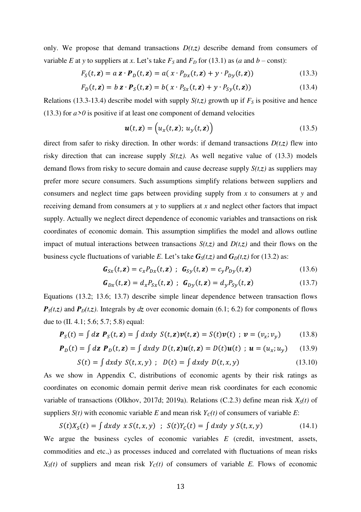only. We propose that demand transactions  $D(t, z)$  describe demand from consumers of variable *E* at *y* to suppliers at *x*. Let's take  $F_S$  and  $F_D$  for (13.1) as (*a* and *b* – const):

$$
F_S(t, \mathbf{z}) = a \mathbf{z} \cdot \mathbf{P}_D(t, \mathbf{z}) = a(x \cdot P_{Dx}(t, \mathbf{z}) + y \cdot P_{Dy}(t, \mathbf{z})) \tag{13.3}
$$

$$
F_D(t, \mathbf{z}) = b \mathbf{z} \cdot \mathbf{P}_S(t, \mathbf{z}) = b(x \cdot P_{Sx}(t, \mathbf{z}) + y \cdot P_{Sy}(t, \mathbf{z})) \tag{13.4}
$$

Relations (13.3-13.4) describe model with supply  $S(t,z)$  growth up if  $F<sub>S</sub>$  is positive and hence (13.3) for  $a > 0$  is positive if at least one component of demand velocities

$$
\mathbf{u}(t,\mathbf{z}) = \left(u_x(t,\mathbf{z});\ u_y(t,\mathbf{z})\right) \tag{13.5}
$$

direct from safer to risky direction. In other words: if demand transactions  $D(t, z)$  flew into risky direction that can increase supply  $S(t,z)$ . As well negative value of (13.3) models demand flows from risky to secure domain and cause decrease supply *S(t,z)* as suppliers may prefer more secure consumers. Such assumptions simplify relations between suppliers and consumers and neglect time gaps between providing supply from *x* to consumers at *y* and receiving demand from consumers at *y* to suppliers at *x* and neglect other factors that impact supply. Actually we neglect direct dependence of economic variables and transactions on risk coordinates of economic domain. This assumption simplifies the model and allows outline impact of mutual interactions between transactions  $S(t,z)$  and  $D(t,z)$  and their flows on the business cycle fluctuations of variable *E*. Let's take  $G_S(t, z)$  and  $G_D(t, z)$  for (13.2) as:

$$
\mathbf{G}_{Sx}(t, \mathbf{z}) = c_x P_{Dx}(t, \mathbf{z}) \; ; \; \mathbf{G}_{Sy}(t, \mathbf{z}) = c_y P_{Dy}(t, \mathbf{z}) \tag{13.6}
$$

$$
\mathbf{G}_{Dx}(t,\mathbf{z}) = d_x P_{Sx}(t,\mathbf{z}) \ ; \ \mathbf{G}_{Dy}(t,\mathbf{z}) = d_y P_{Sy}(t,\mathbf{z}) \tag{13.7}
$$

Equations (13.2; 13.6; 13.7) describe simple linear dependence between transaction flows  $P_s(t, z)$  and  $P_p(t, z)$ . Integrals by *dz* over economic domain (6.1; 6.2) for components of flows due to (II. 4.1; 5.6; 5.7; 5.8) equal:

$$
\mathbf{P}_S(t) = \int d\mathbf{z} \; \mathbf{P}_S(t, \mathbf{z}) = \int dxdy \; S(t, \mathbf{z})\mathbf{v}(t, \mathbf{z}) = S(t)\mathbf{v}(t) \; ; \; \mathbf{v} = (v_x; v_y) \tag{13.8}
$$

$$
\boldsymbol{P}_D(t) = \int d\mathbf{z} \ \boldsymbol{P}_D(t, \mathbf{z}) = \int dxdy \ D(t, \mathbf{z})\boldsymbol{u}(t, \mathbf{z}) = D(t)\boldsymbol{u}(t) \ ; \ \boldsymbol{u} = (u_x; u_y) \tag{13.9}
$$

$$
S(t) = \int dx dy \ S(t, x, y) ; \ D(t) = \int dx dy \ D(t, x, y)
$$
 (13.10)

As we show in Appendix C, distributions of economic agents by their risk ratings as coordinates on economic domain permit derive mean risk coordinates for each economic variable of transactions (Olkhov, 2017d; 2019a). Relations (C.2.3) define mean risk *XS(t)* of suppliers  $S(t)$  with economic variable *E* and mean risk  $Y_c(t)$  of consumers of variable *E*:

$$
S(t)XS(t) = \int dx dy \ x \ S(t, x, y) \ ; \ S(t)YC(t) = \int dx dy \ y \ S(t, x, y) \tag{14.1}
$$

We argue the business cycles of economic variables *E* (credit, investment, assets, commodities and etc.,) as processes induced and correlated with fluctuations of mean risks  $X<sub>S</sub>(t)$  of suppliers and mean risk  $Y<sub>C</sub>(t)$  of consumers of variable *E*. Flows of economic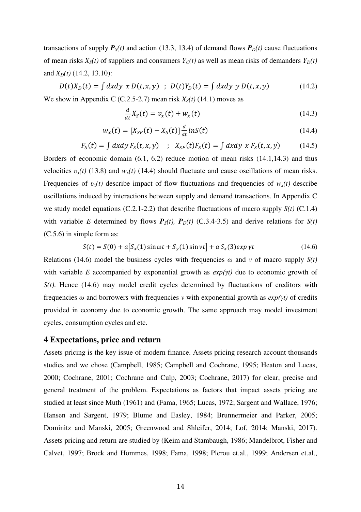transactions of supply  $P_S(t)$  and action (13.3, 13.4) of demand flows  $P_D(t)$  cause fluctuations of mean risks  $X<sub>S</sub>(t)$  of suppliers and consumers  $Y<sub>C</sub>(t)$  as well as mean risks of demanders  $Y<sub>D</sub>(t)$ and *XD(t)* (14.2, 13.10):

$$
D(t)X_D(t) = \int dx dy \; x \; D(t, x, y) \; ; \; D(t)Y_D(t) = \int dx dy \; y \; D(t, x, y) \tag{14.2}
$$

We show in Appendix C (C.2.5-2.7) mean risk  $X<sub>S</sub>(t)$  (14.1) moves as

$$
\frac{d}{dt}X_S(t) = v_x(t) + w_x(t) \tag{14.3}
$$

$$
w_x(t) = [X_{SF}(t) - X_S(t)] \frac{d}{dt} ln S(t)
$$
\n(14.4)

$$
F_S(t) = \int dx dy F_S(t, x, y) \quad ; \quad X_{SF}(t)F_S(t) = \int dx dy \, x F_S(t, x, y) \tag{14.5}
$$

Borders of economic domain (6.1, 6.2) reduce motion of mean risks (14.1,14.3) and thus velocities  $v_x(t)$  (13.8) and  $w_x(t)$  (14.4) should fluctuate and cause oscillations of mean risks. Frequencies of  $v_x(t)$  describe impact of flow fluctuations and frequencies of  $w_x(t)$  describe oscillations induced by interactions between supply and demand transactions. In Appendix C we study model equations (C.2.1-2.2) that describe fluctuations of macro supply *S(t)* (C.1.4) with variable *E* determined by flows  $P_S(t)$ ,  $P_D(t)$  (C.3.4-3.5) and derive relations for  $S(t)$ (C.5.6) in simple form as:

$$
S(t) = S(0) + a[S_x(1)\sin \omega t + S_y(1)\sin \nu t] + a S_x(3) exp \gamma t
$$
 (14.6)

Relations (14.6) model the business cycles with frequencies  $\omega$  and  $\nu$  of macro supply  $S(t)$ with variable *E* accompanied by exponential growth as *exp(γt)* due to economic growth of *S(t)*. Hence (14.6) may model credit cycles determined by fluctuations of creditors with frequencies *ω* and borrowers with frequencies *ν* with exponential growth as *exp(γt)* of credits provided in economy due to economic growth. The same approach may model investment cycles, consumption cycles and etc.

## **4 Expectations, price and return**

Assets pricing is the key issue of modern finance. Assets pricing research account thousands studies and we chose (Campbell, 1985; Campbell and Cochrane, 1995; Heaton and Lucas, 2000; Cochrane, 2001; Cochrane and Culp, 2003; Cochrane, 2017) for clear, precise and general treatment of the problem. Expectations as factors that impact assets pricing are studied at least since Muth (1961) and (Fama, 1965; Lucas, 1972; Sargent and Wallace, 1976; Hansen and Sargent, 1979; Blume and Easley, 1984; Brunnermeier and Parker, 2005; Dominitz and Manski, 2005; Greenwood and Shleifer, 2014; Lof, 2014; Manski, 2017). Assets pricing and return are studied by (Keim and Stambaugh, 1986; Mandelbrot, Fisher and Calvet, 1997; Brock and Hommes, 1998; Fama, 1998; Plerou et.al., 1999; Andersen et.al.,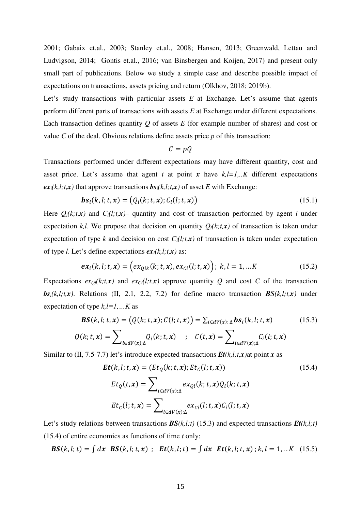2001; Gabaix et.al., 2003; Stanley et.al., 2008; Hansen, 2013; Greenwald, Lettau and Ludvigson, 2014; Gontis et.al., 2016; van Binsbergen and Koijen, 2017) and present only small part of publications. Below we study a simple case and describe possible impact of expectations on transactions, assets pricing and return (Olkhov, 2018; 2019b).

Let's study transactions with particular assets *E* at Exchange. Let's assume that agents perform different parts of transactions with assets *E* at Exchange under different expectations. Each transaction defines quantity *Q* of assets *E* (for example number of shares) and cost or value *C* of the deal. Obvious relations define assets price *p* of this transaction:

$$
C=pQ
$$

Transactions performed under different expectations may have different quantity, cost and asset price. Let's assume that agent *i* at point *x* have  $k, l=1,..K$  different expectations  $ex_i(k, l; t, x)$  that approve transactions  $bs_i(k, l; t, x)$  of asset *E* with Exchange:

$$
\boldsymbol{bs}_i(k, l; t, \boldsymbol{x}) = (Q_i(k; t, \boldsymbol{x}); C_i(l; t, \boldsymbol{x})) \tag{15.1}
$$

Here  $Q_i(k;t,x)$  and  $C_i(l;t,x)$  quantity and cost of transaction performed by agent *i* under expectation *k,l.* We propose that decision on quantity  $Q_i(k,t,x)$  of transaction is taken under expectation of type *k* and decision on cost  $C_i(l;t,x)$  of transaction is taken under expectation of type *l*. Let's define expectations  $ex_i(k, l; t, x)$  as:

$$
ex_i(k, l; t, x) = (ex_{Qik}(k; t, x), ex_{ci}(l; t, x)); k, l = 1, ... K
$$
\n(15.2)

Expectations  $ex_{\Omega}(k,t,\mathbf{x})$  and  $ex_{\Omega}(l,t,\mathbf{x})$  approve quantity Q and cost C of the transaction  $b\mathbf{s}_i(k,l;t,\mathbf{x})$ . Relations (II, 2.1, 2.2, 7.2) for define macro transaction  $\mathbf{BS}(k,l;t,\mathbf{x})$  under expectation of type *k,l=1,…K* as

$$
\mathbf{BS}(k, l; t, x) = (Q(k; t, x); C(l; t, x)) = \sum_{i \in dV(x); \Delta} \mathbf{bs}_i(k, l; t, x)
$$
(15.3)  

$$
Q(k; t, x) = \sum Q_k(k; t, x) \qquad C(t, x) = \sum C_k(l; t, x)
$$

$$
Q(k; t, x) = \sum_{i \in dV(x); \Delta} Q_i(k; t, x) \quad ; \quad C(t, x) = \sum_{i \in dV(x); \Delta} C_i(l; t, x)
$$

Similar to (II, 7.5-7.7) let's introduce expected transactions  $Et(k, l; t, x)$  at point *x* as

$$
\begin{aligned} \mathbf{Et}(k, l; t, x) &= (Et_Q(k; t, x); Et_C(l; t, x)) \tag{15.4} \\ Et_Q(t, x) &= \sum_{i \in dV(x); \Delta} ex_{Qi}(k; t, x) Q_i(k; t, x) \\ Et_C(l; t, x) &= \sum_{i \in dV(x); \Delta} ex_{Ci}(l; t, x) C_i(l; t, x) \end{aligned}
$$

Let's study relations between transactions *BS(k,l;t)* (15.3) and expected transactions *Et(k,l;t)* (15.4) of entire economics as functions of time *t* only:

 $BS(k, l; t) = \int dx \, BS(k, l; t, x)$ ;  $Et(k, l; t) = \int dx \, Et(k, l; t, x)$ ;  $k, l = 1,..K$  (15.5)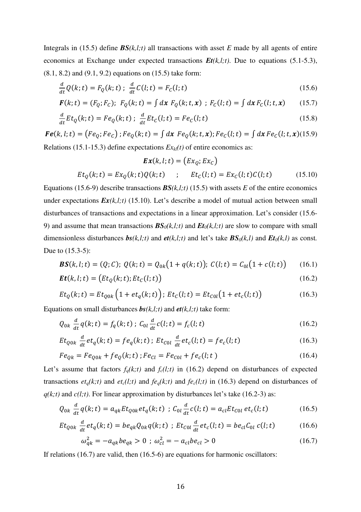Integrals in (15.5) define  $BS(k, l; t)$  all transactions with asset *E* made by all agents of entire economics at Exchange under expected transactions *Et(k,l;t)*. Due to equations (5.1-5.3), (8.1, 8.2) and (9.1, 9.2) equations on (15.5) take form:

$$
\frac{d}{dt}Q(k;t) = F_Q(k;t) \; ; \; \frac{d}{dt}C(l;t) = F_C(l;t) \tag{15.6}
$$

$$
\mathbf{F}(k; t) = (F_Q; F_C); \ \ F_Q(k; t) = \int dx \ F_Q(k; t, x) \ ; \ F_C(l; t) = \int dx \ F_C(l; t, x) \tag{15.7}
$$

$$
\frac{d}{dt} E t_Q(k; t) = F e_Q(k; t) ; \frac{d}{dt} E t_C(l; t) = F e_C(l; t)
$$
\n(15.8)

 $\bm{Fe}(k, l; t) = (Fe_Q; Fe_C)$ ;  $Fe_Q(k; t) = \int dx \; Fe_Q(k; t, x); Fe_C(l; t) = \int dx \; Fe_C(l; t, x)$ (15.9) Relations (15.1-15.3) define expectations *Exkl(t)* of entire economics as:

$$
\mathbf{Ex}(k, l; t) = (Ex_Q; Ex_C)
$$
  
\n
$$
Et_Q(k; t) = Ex_Q(k; t)Q(k; t) \qquad ; \qquad Et_C(l; t) = Ex_C(l; t)C(l; t) \qquad (15.10)
$$

Equations (15.6-9) describe transactions  $BS(k, l; t)$  (15.5) with assets *E* of the entire economics under expectations  $\mathbf{Ex}(k,l;t)$  (15.10). Let's describe a model of mutual action between small disturbances of transactions and expectations in a linear approximation. Let's consider (15.6- 9) and assume that mean transactions  $BS_0(k, l; t)$  and  $Et_0(k, l; t)$  are slow to compare with small dimensionless disturbances  $\mathbf{bs}(k,l;t)$  and  $\mathbf{et}(k,l;t)$  and let's take  $\mathbf{BS}_0(k,l)$  and  $\mathbf{Et}_0(k,l)$  as const. Due to (15.3-5):

$$
\mathbf{BS}(k, l; t) = (Q; C); \ Q(k; t) = Q_{0k}(1 + q(k; t)); \ C(l; t) = C_{0l}(1 + c(l; t)) \tag{16.1}
$$

$$
\boldsymbol{Et}(k, l; t) = \big( Et_Q(k; t); Et_C(l; t)\big) \tag{16.2}
$$

$$
Et_Q(k;t) = Et_{Q0k}\left(1 + et_q(k;t)\right); Et_C(l;t) = Et_{C0l}(1 + et_c(l;t))
$$
\n(16.3)

Equations on small disturbances  $bs(k, l; t)$  and  $et(k, l; t)$  take form:

$$
Q_{0k} \frac{d}{dt} q(k; t) = f_q(k; t) ; C_{0l} \frac{d}{dt} c(l; t) = f_c(l; t)
$$
 (16.2)

$$
Et_{Q0k} \frac{d}{dt}et_q(k;t) = fe_q(k;t); Et_{C0l} \frac{d}{dt}et_c(l;t) = fe_c(l;t)
$$
\n(16.3)

$$
Fe_{Qk} = Fe_{Q0k} + fe_Q(k; t) ; Fe_{Cl} = Fe_{C0l} + fe_C(l; t)
$$
\n(16.4)

Let's assume that factors  $f_q(k;t)$  and  $f_c(l;t)$  in (16.2) depend on disturbances of expected transactions  $et_q(k;t)$  and  $et_c(l;t)$  and  $fe_q(k;t)$  and  $fe_c(l;t)$  in (16.3) depend on disturbances of  $q(k; t)$  and  $c(l; t)$ . For linear approximation by disturbances let's take (16.2-3) as:

$$
Q_{0k} \frac{d}{dt} q(k;t) = a_{qk} E t_{00k} e t_q(k;t) ; C_{0l} \frac{d}{dt} c(l;t) = a_{cl} E t_{c0l} e t_c(l;t)
$$
 (16.5)

$$
Et_{Q0k} \frac{d}{dt}et_q(k;t) = be_{qk}Q_{0k}q(k;t) \; ; \; Et_{C0l} \frac{d}{dt}et_c(l;t) = be_{cl}C_{0l} c(l;t) \tag{16.6}
$$

$$
\omega_{qk}^2 = -a_{qk} b e_{qk} > 0 \; ; \; \omega_{cl}^2 = -a_{cl} b e_{cl} > 0 \tag{16.7}
$$

If relations (16.7) are valid, then (16.5-6) are equations for harmonic oscillators: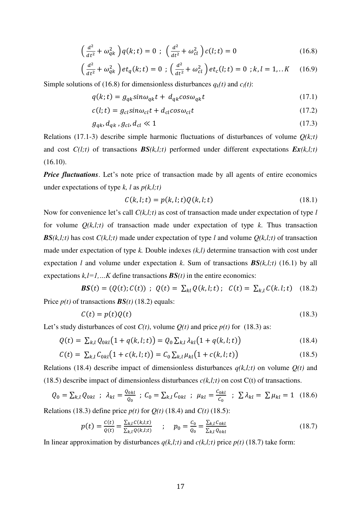$$
\left(\frac{d^2}{dt^2} + \omega_{qk}^2\right)q(k;t) = 0 \; ; \; \left(\frac{d^2}{dt^2} + \omega_{cl}^2\right)c(l;t) = 0 \tag{16.8}
$$

$$
\left(\frac{d^2}{dt^2} + \omega_{qk}^2\right) et_q(k; t) = 0 ; \left(\frac{d^2}{dt^2} + \omega_{cl}^2\right) et_c(l; t) = 0 ; k, l = 1,..K \quad (16.9)
$$

Simple solutions of (16.8) for dimensionless disturbances  $q_k(t)$  and  $c_l(t)$ :

$$
q(k; t) = g_{qk} sin \omega_{qk} t + d_{qk} cos \omega_{qk} t
$$
\n(17.1)

$$
c(l; t) = g_{cl} \sin \omega_{cl} t + d_{cl} \cos \omega_{cl} t \tag{17.2}
$$

$$
g_{qk}, d_{qk}, g_{cl}, d_{cl} \ll 1 \tag{17.3}
$$

Relations (17.1-3) describe simple harmonic fluctuations of disturbances of volume *Q(k;t)* and cost  $C(l;t)$  of transactions  $BS(k,l;t)$  performed under different expectations  $Ex(k,l;t)$ (16.10).

*Price fluctuations*. Let's note price of transaction made by all agents of entire economics under expectations of type *k, l* as *p(k,l;t)*

$$
C(k, l; t) = p(k, l; t)Q(k, l; t)
$$
\n
$$
(18.1)
$$

Now for convenience let's call *C(k,l;t)* as cost of transaction made under expectation of type *l* for volume  $Q(k,l;t)$  of transaction made under expectation of type k. Thus transaction *BS*( $k, l; t$ ) has cost *C*( $k, l; t$ ) made under expectation of type *l* and volume  $Q(k, l; t)$  of transaction made under expectation of type *k.* Double indexes *(k,l)* determine transaction with cost under expectation *l* and volume under expectation *k*. Sum of transactions  $BS(k, l; t)$  (16.1) by all expectations  $k, l=1,...K$  define transactions  $BS(t)$  in the entire economics:

$$
BS(t) = (Q(t); C(t)) ; Q(t) = \sum_{kl} Q(k, l; t) ; C(t) = \sum_{k,l} C(k, l; t) \quad (18.2)
$$

Price  $p(t)$  of transactions  $BS(t)$  (18.2) equals:

$$
C(t) = p(t)Q(t) \tag{18.3}
$$

Let's study disturbances of cost  $C(t)$ , volume  $Q(t)$  and price  $p(t)$  for (18.3) as:

$$
Q(t) = \sum_{k,l} Q_{0kl} (1 + q(k, l; t)) = Q_0 \sum_{k,l} \lambda_{kl} (1 + q(k, l; t))
$$
\n(18.4)

$$
C(t) = \sum_{k,l} C_{0kl} (1 + c(k, l; t)) = C_0 \sum_{k,l} \mu_{kl} (1 + c(k, l; t))
$$
\n(18.5)

Relations (18.4) describe impact of dimensionless disturbances  $q(k,l;t)$  on volume  $Q(t)$  and (18.5) describe impact of dimensionless disturbances  $c(k, l; t)$  on cost  $C(t)$  of transactions.

$$
Q_0 = \sum_{k,l} Q_{0kl} \; ; \; \lambda_{kl} = \frac{Q_{0kl}}{Q_0} \; ; \; C_0 = \sum_{k,l} C_{0kl} \; ; \; \mu_{kl} = \frac{C_{0kl}}{C_0} \; ; \; \sum \lambda_{kl} = \sum \mu_{kl} = 1 \; (18.6)
$$

Relations (18.3) define price  $p(t)$  for  $Q(t)$  (18.4) and  $C(t)$  (18.5):

$$
p(t) = \frac{c(t)}{q(t)} = \frac{\sum_{k,l} c(k,l;t)}{\sum_{k,l} q(k,l;t)} \qquad ; \qquad p_0 = \frac{c_0}{q_0} = \frac{\sum_{k,l} c_{0kl}}{\sum_{k,l} q_{0kl}} \tag{18.7}
$$

In linear approximation by disturbances  $q(k,l;t)$  and  $c(k,l;t)$  price  $p(t)$  (18.7) take form: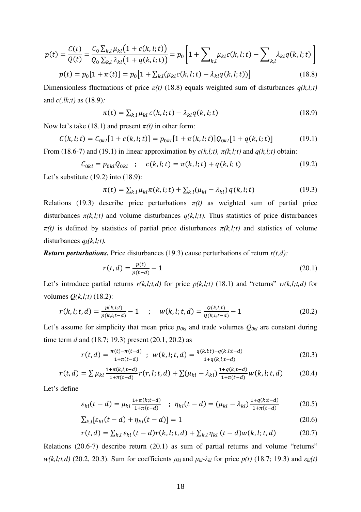$$
p(t) = \frac{C(t)}{Q(t)} = \frac{C_0 \sum_{k,l} \mu_{kl} (1 + c(k, l; t))}{Q_0 \sum_{k,l} \lambda_{kl} (1 + q(k, l; t))} = p_0 \left[ 1 + \sum_{k,l} \mu_{kl} c(k, l; t) - \sum_{k,l} \lambda_{kl} q(k, l; t) \right]
$$

$$
p(t) = p_0 [1 + \pi(t)] = p_0 \left[ 1 + \sum_{k,l} (\mu_{kl} c(k, l; t) - \lambda_{kl} q(k, l; t)) \right]
$$
(18.8)

Dimensionless fluctuations of price *π(t)* (18.8) equals weighted sum of disturbances *q(k,l;t)* and *c(,lk;t)* as (18.9)*:*

$$
\pi(t) = \sum_{k,l} \mu_{kl} c(k,l;t) - \lambda_{kl} q(k,l;t)
$$
\n(18.9)

Now let's take (18.1) and present  $\pi(t)$  in other form:

$$
C(k, l; t) = C_{0kl}[1 + c(k, l; t)] = p_{0kl}[1 + \pi(k, l; t)]Q_{0kl}[1 + q(k, l; t)]
$$
(19.1)

From (18.6-7) and (19.1) in linear approximation by  $c(k,l;t)$ ,  $\pi(k,l;t)$  and  $q(k,l;t)$  obtain:

$$
C_{0kl} = p_{0kl} Q_{0kl} \quad ; \quad c(k, l; t) = \pi(k, l; t) + q(k, l; t) \tag{19.2}
$$

Let's substitute (19.2) into (18.9):

$$
\pi(t) = \sum_{k,l} \mu_{kl} \pi(k, l; t) + \sum_{k,l} (\mu_{kl} - \lambda_{kl}) q(k, l; t)
$$
\n(19.3)

Relations (19.3) describe price perturbations  $\pi(t)$  as weighted sum of partial price disturbances  $\pi(k,l;t)$  and volume disturbances  $q(k,l;t)$ . Thus statistics of price disturbances  $\pi(t)$  is defined by statistics of partial price disturbances  $\pi(k,l;t)$  and statistics of volume disturbances  $q_k(k,l;t)$ .

*Return perturbations.* Price disturbances (19.3) cause perturbations of return *r(t,d):*

$$
r(t,d) = \frac{p(t)}{p(t-d)} - 1\tag{20.1}
$$

Let's introduce partial returns  $r(k,l;t,d)$  for price  $p(k,l;t)$  (18.1) and "returns"  $w(k,l;t,d)$  for volumes *Q(k,l;t)* (18.2):

$$
r(k, l; t, d) = \frac{p(k, l; t)}{p(k, l; t - d)} - 1 \qquad ; \qquad w(k, l; t, d) = \frac{Q(k, l; t)}{Q(k, l; t - d)} - 1 \tag{20.2}
$$

Let's assume for simplicity that mean price  $p_{0kl}$  and trade volumes  $Q_{0kl}$  are constant during time term *d* and (18.7; 19.3) present (20.1, 20.2) as

$$
r(t,d) = \frac{\pi(t) - \pi(t-d)}{1 + \pi(t-d)} \; ; \; w(k,l;t,d) = \frac{q(k,l;t) - q(k,l;t-d)}{1 + q(k,l;t-d)} \tag{20.3}
$$

$$
r(t,d) = \sum \mu_{kl} \frac{1 + \pi(k,l;t-d)}{1 + \pi(t-d)} r(r,l;t,d) + \sum (\mu_{kl} - \lambda_{kl}) \frac{1 + q(k;t-d)}{1 + \pi(t-d)} w(k,l;t,d)
$$
(20.4)

Let's define

$$
\varepsilon_{kl}(t-d) = \mu_{kl} \frac{1 + \pi(k; t-d)}{1 + \pi(t-d)} \quad ; \quad \eta_{kl}(t-d) = (\mu_{kl} - \lambda_{kl}) \frac{1 + q(k; t-d)}{1 + \pi(t-d)} \tag{20.5}
$$

$$
\sum_{k,l} \left[ \varepsilon_{kl}(t-d) + \eta_{kl}(t-d) \right] = 1 \tag{20.6}
$$

$$
r(t,d) = \sum_{k,l} \varepsilon_{kl} (t-d)r(k,l;t,d) + \sum_{k,l} \eta_{kl} (t-d)w(k,l;t,d)
$$
 (20.7)

Relations (20.6-7) describe return (20.1) as sum of partial returns and volume "returns" *w*(*k,l;t,d*) (20.2, 20.3). Sum for coefficients  $μ_k$  and  $μ_k$ - $λ_k$  for price  $p(t)$  (18.7; 19.3) and  $ε_{kl}(t)$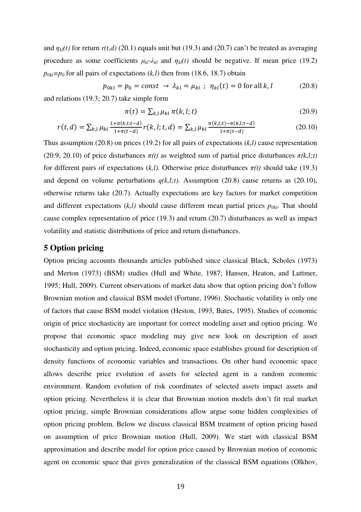and  $\eta_{kl}(t)$  for return  $r(t,d)$  (20.1) equals unit but (19.3) and (20.7) can't be treated as averaging procedure as some coefficients  $\mu_{kl}$ - $\lambda_{kl}$  and  $\eta_{kl}(t)$  should be negative. If mean price (19.2)  $p_{0kl} = p_0$  for all pairs of expectations  $(k, l)$  then from (18.6, 18.7) obtain

$$
p_{0kl} = p_0 = const \rightarrow \lambda_{kl} = \mu_{kl} ; \eta_{kl}(t) = 0 \text{ for all } k, l \tag{20.8}
$$

and relations (19.3; 20.7) take simple form

$$
\pi(t) = \sum_{k,l} \mu_{kl} \pi(k,l;t) \tag{20.9}
$$

$$
r(t,d) = \sum_{k,l} \mu_{kl} \frac{1 + \pi(k,l;t-d)}{1 + \pi(t-d)} r(k,l;t,d) = \sum_{k,l} \mu_{kl} \frac{\pi(k,l;t) - \pi(k,l;t-d)}{1 + \pi(t-d)}
$$
(20.10)

Thus assumption (20.8) on prices (19.2) for all pairs of expectations (*k,l)* cause representation (20.9, 20.10) of price disturbances  $\pi(t)$  as weighted sum of partial price disturbances  $\pi(k,l;t)$ for different pairs of expectations  $(k, l)$ . Otherwise price disturbances  $\pi(t)$  should take (19.3) and depend on volume perturbations  $q(k,l;t)$ . Assumption (20.8) cause returns as (20.10), otherwise returns take (20.7). Actually expectations are key factors for market competition and different expectations (*k,l)* should cause different mean partial prices *p0kl* . That should cause complex representation of price (19.3) and return (20.7) disturbances as well as impact volatility and statistic distributions of price and return disturbances.

## **5 Option pricing**

Option pricing accounts thousands articles published since classical Black, Scholes (1973) and Merton (1973) (BSM) studies (Hull and White, 1987; Hansen, Heaton, and Luttmer, 1995; Hull, 2009). Current observations of market data show that option pricing don't follow Brownian motion and classical BSM model (Fortune, 1996). Stochastic volatility is only one of factors that cause BSM model violation (Heston, 1993, Bates, 1995). Studies of economic origin of price stochasticity are important for correct modeling asset and option pricing. We propose that economic space modeling may give new look on description of asset stochasticity and option pricing. Indeed, economic space establishes ground for description of density functions of economic variables and transactions. On other hand economic space allows describe price evolution of assets for selected agent in a random economic environment. Random evolution of risk coordinates of selected assets impact assets and option pricing. Nevertheless it is clear that Brownian motion models don't fit real market option pricing, simple Brownian considerations allow argue some hidden complexities of option pricing problem. Below we discuss classical BSM treatment of option pricing based on assumption of price Brownian motion (Hull, 2009). We start with classical BSM approximation and describe model for option price caused by Brownian motion of economic agent on economic space that gives generalization of the classical BSM equations (Olkhov,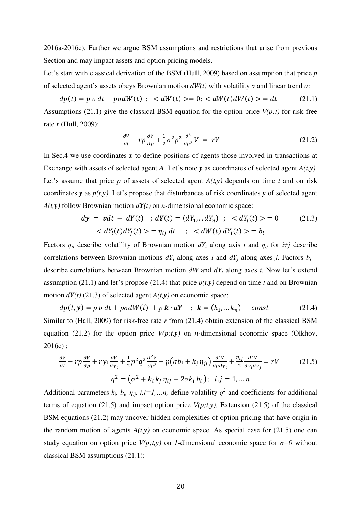2016a-2016c). Further we argue BSM assumptions and restrictions that arise from previous Section and may impact assets and option pricing models.

Let's start with classical derivation of the BSM (Hull, 2009) based on assumption that price *p* of selected agent's assets obeys Brownian motion  $dW(t)$  with volatility  $\sigma$  and linear trend  $v$ :

 $dp(t) = p v dt + p \sigma dW(t)$ ;  $\langle dW(t) \rangle = 0$ ;  $\langle dW(t) dW(t) \rangle = dt$  (21.1) Assumptions (21.1) give the classical BSM equation for the option price *V(p;t)* for risk-free rate *r* (Hull, 2009):

$$
\frac{\partial V}{\partial t} + rp \frac{\partial V}{\partial p} + \frac{1}{2} \sigma^2 p^2 \frac{\partial^2}{\partial p^2} V = rV
$$
 (21.2)

In Sec.4 we use coordinates x to define positions of agents those involved in transactions at Exchange with assets of selected agent *A*. Let's note *y* as coordinates of selected agent *A(t,y).* Let's assume that price  $p$  of assets of selected agent  $A(t, y)$  depends on time  $t$  and on risk coordinates *y* as *p(t,y).* Let's propose that disturbances of risk coordinates *y* of selected agent  $A(t, y)$  follow Brownian motion  $dY(t)$  on *n*-dimensional economic space:

$$
dy = vdt + dY(t) \; ; \; dY(t) = (dY_1...dY_n) \; ; \; < dY_i(t) > = 0 \tag{21.3}
$$
\n
$$
< dY_i(t) dY_j(t) > = \eta_{ij} dt \; ; \; < dW(t) dY_i(t) > = b_i
$$

Factors  $\eta_{ii}$  describe volatility of Brownian motion  $dY_i$  along axis *i* and  $\eta_{ij}$  for  $i\neq j$  describe correlations between Brownian motions  $dY_i$  along axes *i* and  $dY_j$  along axes *j*. Factors  $b_i$  – describe correlations between Brownian motion *dW* and *dY<sup>i</sup>* along axes *i.* Now let's extend assumption (21.1) and let's propose (21.4) that price  $p(t, y)$  depend on time *t* and on Brownian motion  $dY(t)$  (21.3) of selected agent  $A(t, y)$  on economic space:

 $dp(t, y) = p v dt + p\sigma dW(t) + p k \cdot dY$ ;  $k = (k_1, ... k_n) - const$  (21.4) Similar to (Hall, 2009) for risk-free rate *r* from (21.4) obtain extension of the classical BSM equation (21.2) for the option price  $V(p;t,y)$  on *n*-dimensional economic space (Olkhov, 2016c) :

$$
\frac{\partial V}{\partial t} + rp \frac{\partial V}{\partial p} + ry_i \frac{\partial V}{\partial y_i} + \frac{1}{2} p^2 q^2 \frac{\partial^2 V}{\partial p^2} + p(\sigma b_i + k_j \eta_{ji}) \frac{\partial^2 V}{\partial p \partial y_i} + \frac{\eta_{ij}}{2} \frac{\partial^2 V}{\partial y_i \partial y_j} = rV
$$
(21.5)  

$$
q^2 = (\sigma^2 + k_i k_j \eta_{ij} + 2\sigma k_i b_i); \quad i, j = 1, \dots n
$$

Additional parameters  $k_i$ ,  $b_i$ ,  $\eta_{ij}$ ,  $i,j=1,...n$ , define volatility  $q^2$  and coefficients for additional terms of equation (21.5) and impact option price  $V(p;t,y)$ . Extension (21.5) of the classical BSM equations (21.2) may uncover hidden complexities of option pricing that have origin in the random motion of agents  $A(t, y)$  on economic space. As special case for (21.5) one can study equation on option price  $V(p; t, y)$  on *1*-dimensional economic space for  $\sigma = 0$  without classical BSM assumptions (21.1):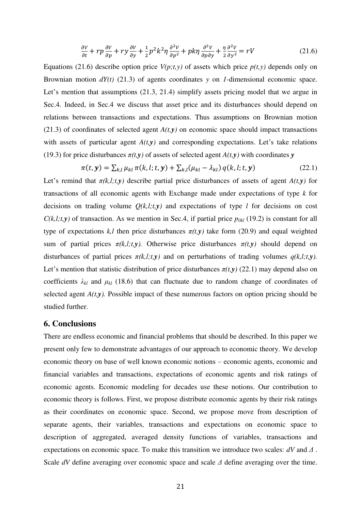$$
\frac{\partial V}{\partial t} + rp \frac{\partial V}{\partial p} + ry \frac{\partial V}{\partial y} + \frac{1}{2} p^2 k^2 \eta \frac{\partial^2 V}{\partial p^2} + p k \eta \frac{\partial^2 V}{\partial p \partial y} + \frac{\eta}{2} \frac{\partial^2 V}{\partial y^2} = rV
$$
 (21.6)

Equations (21.6) describe option price  $V(p;t,y)$  of assets which price  $p(t,y)$  depends only on Brownian motion  $dY(t)$  (21.3) of agents coordinates *y* on *1*-dimensional economic space. Let's mention that assumptions (21.3, 21.4) simplify assets pricing model that we argue in Sec.4. Indeed, in Sec.4 we discuss that asset price and its disturbances should depend on relations between transactions and expectations. Thus assumptions on Brownian motion (21.3) of coordinates of selected agent  $A(t, y)$  on economic space should impact transactions with assets of particular agent  $A(t, y)$  and corresponding expectations. Let's take relations (19.3) for price disturbances  $\pi(t, y)$  of assets of selected agent  $A(t, y)$  with coordinates  $y$ 

 $\pi(t, y) = \sum_{k,l} \mu_{kl} \pi(k, l; t, y) + \sum_{k,l} (\mu_{kl} - \lambda_{kl}) q(k, l; t, y)$  (22.1)

Let's remind that  $\pi(k,l;t,y)$  describe partial price disturbances of assets of agent  $A(t,y)$  for transactions of all economic agents with Exchange made under expectations of type *k* for decisions on trading volume  $Q(k,l;t,y)$  and expectations of type *l* for decisions on cost  $C(k, l; t, y)$  of transaction. As we mention in Sec.4, if partial price  $p_{0kl}$  (19.2) is constant for all type of expectations  $k, l$  then price disturbances  $\pi(t, y)$  take form (20.9) and equal weighted sum of partial prices  $\pi(k,l;t,y)$ . Otherwise price disturbances  $\pi(t,y)$  should depend on disturbances of partial prices  $\pi(k,l;t,y)$  and on perturbations of trading volumes  $q(k,l;t,y)$ . Let's mention that statistic distribution of price disturbances  $\pi(t, y)$  (22.1) may depend also on coefficients  $\lambda_{kl}$  and  $\mu_{kl}$  (18.6) that can fluctuate due to random change of coordinates of selected agent *A(t,y).* Possible impact of these numerous factors on option pricing should be studied further.

## **6. Conclusions**

There are endless economic and financial problems that should be described. In this paper we present only few to demonstrate advantages of our approach to economic theory. We develop economic theory on base of well known economic notions – economic agents, economic and financial variables and transactions, expectations of economic agents and risk ratings of economic agents. Economic modeling for decades use these notions. Our contribution to economic theory is follows. First, we propose distribute economic agents by their risk ratings as their coordinates on economic space. Second, we propose move from description of separate agents, their variables, transactions and expectations on economic space to description of aggregated, averaged density functions of variables, transactions and expectations on economic space. To make this transition we introduce two scales: *dV* and *Δ* . Scale *dV* define averaging over economic space and scale *Δ* define averaging over the time.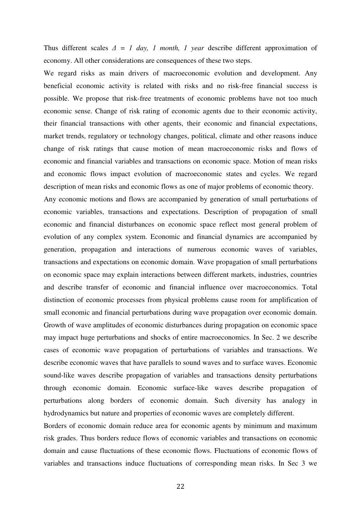Thus different scales *Δ = 1 day, 1 month, 1 year* describe different approximation of economy. All other considerations are consequences of these two steps.

We regard risks as main drivers of macroeconomic evolution and development. Any beneficial economic activity is related with risks and no risk-free financial success is possible. We propose that risk-free treatments of economic problems have not too much economic sense. Change of risk rating of economic agents due to their economic activity, their financial transactions with other agents, their economic and financial expectations, market trends, regulatory or technology changes, political, climate and other reasons induce change of risk ratings that cause motion of mean macroeconomic risks and flows of economic and financial variables and transactions on economic space. Motion of mean risks and economic flows impact evolution of macroeconomic states and cycles. We regard description of mean risks and economic flows as one of major problems of economic theory.

Any economic motions and flows are accompanied by generation of small perturbations of economic variables, transactions and expectations. Description of propagation of small economic and financial disturbances on economic space reflect most general problem of evolution of any complex system. Economic and financial dynamics are accompanied by generation, propagation and interactions of numerous economic waves of variables, transactions and expectations on economic domain. Wave propagation of small perturbations on economic space may explain interactions between different markets, industries, countries and describe transfer of economic and financial influence over macroeconomics. Total distinction of economic processes from physical problems cause room for amplification of small economic and financial perturbations during wave propagation over economic domain. Growth of wave amplitudes of economic disturbances during propagation on economic space may impact huge perturbations and shocks of entire macroeconomics. In Sec. 2 we describe cases of economic wave propagation of perturbations of variables and transactions. We describe economic waves that have parallels to sound waves and to surface waves. Economic sound-like waves describe propagation of variables and transactions density perturbations through economic domain. Economic surface-like waves describe propagation of perturbations along borders of economic domain. Such diversity has analogy in hydrodynamics but nature and properties of economic waves are completely different.

Borders of economic domain reduce area for economic agents by minimum and maximum risk grades. Thus borders reduce flows of economic variables and transactions on economic domain and cause fluctuations of these economic flows. Fluctuations of economic flows of variables and transactions induce fluctuations of corresponding mean risks. In Sec 3 we

22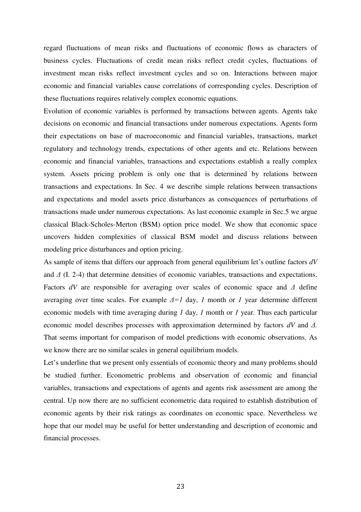regard fluctuations of mean risks and fluctuations of economic flows as characters of business cycles. Fluctuations of credit mean risks reflect credit cycles, fluctuations of investment mean risks reflect investment cycles and so on. Interactions between major economic and financial variables cause correlations of corresponding cycles. Description of these fluctuations requires relatively complex economic equations.

Evolution of economic variables is performed by transactions between agents. Agents take decisions on economic and financial transactions under numerous expectations. Agents form their expectations on base of macroeconomic and financial variables, transactions, market regulatory and technology trends, expectations of other agents and etc. Relations between economic and financial variables, transactions and expectations establish a really complex system. Assets pricing problem is only one that is determined by relations between transactions and expectations. In Sec. 4 we describe simple relations between transactions and expectations and model assets price disturbances as consequences of perturbations of transactions made under numerous expectations. As last economic example in Sec.5 we argue classical Black-Scholes-Merton (BSM) option price model. We show that economic space uncovers hidden complexities of classical BSM model and discuss relations between modeling price disturbances and option pricing.

As sample of items that differs our approach from general equilibrium let's outline factors *dV*  and *Δ* (I. 2-4) that determine densities of economic variables, transactions and expectations. Factors *dV* are responsible for averaging over scales of economic space and *Δ* define averaging over time scales. For example  $\Delta = I$  day, *1* month or *1* year determine different economic models with time averaging during *1* day, *1* month or *1* year*.* Thus each particular economic model describes processes with approximation determined by factors *dV* and *Δ.* That seems important for comparison of model predictions with economic observations. As we know there are no similar scales in general equilibrium models.

Let's underline that we present only essentials of economic theory and many problems should be studied further. Econometric problems and observation of economic and financial variables, transactions and expectations of agents and agents risk assessment are among the central. Up now there are no sufficient econometric data required to establish distribution of economic agents by their risk ratings as coordinates on economic space. Nevertheless we hope that our model may be useful for better understanding and description of economic and financial processes.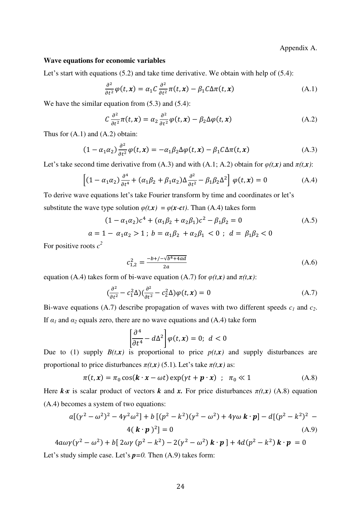Appendix A.

#### **Wave equations for economic variables**

Let's start with equations (5.2) and take time derivative. We obtain with help of (5.4):

$$
\frac{\partial^2}{\partial t^2} \varphi(t, x) = \alpha_1 C \frac{\partial^2}{\partial t^2} \pi(t, x) - \beta_1 C \Delta \pi(t, x)
$$
\n(A.1)

We have the similar equation from  $(5.3)$  and  $(5.4)$ :

$$
C \frac{\partial^2}{\partial t^2} \pi(t, x) = \alpha_2 \frac{\partial^2}{\partial t^2} \varphi(t, x) - \beta_2 \Delta \varphi(t, x)
$$
 (A.2)

Thus for  $(A.1)$  and  $(A.2)$  obtain:

$$
(1 - \alpha_1 \alpha_2) \frac{\partial^2}{\partial t^2} \varphi(t, x) = -\alpha_1 \beta_2 \Delta \varphi(t, x) - \beta_1 C \Delta \pi(t, x)
$$
 (A.3)

Let's take second time derivative from (A.3) and with (A.1; A.2) obtain for  $\varphi(t, x)$  and  $\pi(t, x)$ :

$$
\left[ (1 - \alpha_1 \alpha_2) \frac{\partial^4}{\partial t^4} + (\alpha_1 \beta_2 + \beta_1 \alpha_2) \Delta \frac{\partial^2}{\partial t^2} - \beta_1 \beta_2 \Delta^2 \right] \varphi(t, x) = 0 \tag{A.4}
$$

To derive wave equations let's take Fourier transform by time and coordinates or let's substitute the wave type solution  $\varphi(t, x) = \varphi(x - ct)$ . Than (A.4) takes form

$$
(1 - \alpha_1 \alpha_2)c^4 + (\alpha_1 \beta_2 + \alpha_2 \beta_1)c^2 - \beta_1 \beta_2 = 0
$$
\n
$$
a = 1 - \alpha_1 \alpha_2 > 1; b = \alpha_1 \beta_2 + \alpha_2 \beta_1 < 0; d = \beta_1 \beta_2 < 0
$$
\n(A.5)

For positive roots *c 2*

$$
c_{1,2}^2 = \frac{-b + (-\sqrt{b^4 + 4ad}}{2a} \tag{A.6}
$$

equation (A.4) takes form of bi-wave equation (A.7) for  $\varphi(t, x)$  and  $\pi(t, x)$ :

$$
\left(\frac{\partial^2}{\partial t^2} - c_1^2 \Delta\right) \left(\frac{\partial^2}{\partial t^2} - c_2^2 \Delta\right) \varphi(t, \mathbf{x}) = 0 \tag{A.7}
$$

Bi-wave equations (A.7) describe propagation of waves with two different speeds *c1* and *c2*. If  $\alpha_1$  and  $\alpha_2$  equals zero, there are no wave equations and (A.4) take form

$$
\left[\frac{\partial^4}{\partial t^4} - d\Delta^2\right] \varphi(t, x) = 0; \ d < 0
$$

Due to (1) supply  $B(t,x)$  is proportional to price  $p(t,x)$  and supply disturbances are proportional to price disturbances  $\pi(t, x)$  (5.1). Let's take  $\pi(t, x)$  as:

$$
\pi(t, x) = \pi_0 \cos(\mathbf{k} \cdot x - \omega t) \exp(\gamma t + \mathbf{p} \cdot x) \quad ; \quad \pi_0 \ll 1 \tag{A.8}
$$

Here  $k \times x$  is scalar product of vectors  $k$  and  $x$ . For price disturbances  $\pi(t,x)$  (A.8) equation (A.4) becomes a system of two equations:

$$
a[(\gamma^2 - \omega^2)^2 - 4\gamma^2\omega^2] + b[(p^2 - k^2)(\gamma^2 - \omega^2) + 4\gamma\omega \mathbf{k} \cdot \mathbf{p}] - d[(p^2 - k^2)^2 - 4(\mathbf{k} \cdot \mathbf{p})^2] = 0
$$
\n(A.9)

 $4a\omega\gamma(\gamma^2-\omega^2)+b[2\omega\gamma(p^2-k^2)-2(\gamma^2-\omega^2) \mathbf{k}\cdot\mathbf{p}]+4d(p^2-k^2) \mathbf{k}\cdot\mathbf{p}=0$ Let's study simple case. Let's  $p=0$ . Then (A.9) takes form: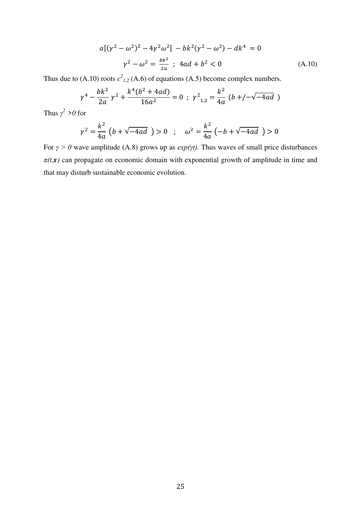$$
a[(\gamma^2 - \omega^2)^2 - 4\gamma^2 \omega^2] - bk^2(\gamma^2 - \omega^2) - dk^4 = 0
$$
  

$$
\gamma^2 - \omega^2 = \frac{bk^2}{2a} \; ; \; 4ad + b^2 < 0 \tag{A.10}
$$

Thus due to (A.10) roots  $c^2_{1,2}$  (A.6) of equations (A.5) become complex numbers.

$$
\gamma^4 - \frac{bk^2}{2a} \gamma^2 + \frac{k^4(b^2 + 4ad)}{16a^2} = 0 \ ; \ \gamma^2_{1,2} = \frac{k^2}{4a} \ (b + (-\sqrt{-4ad})
$$

Thus  $\gamma^2 > 0$  for

$$
\gamma^2 = \frac{k^2}{4a} \left( b + \sqrt{-4ad} \right) > 0 \quad ; \quad \omega^2 = \frac{k^2}{4a} \left( -b + \sqrt{-4ad} \right) > 0
$$

For  $\gamma > 0$  wave amplitude (A.8) grows up as  $exp(\gamma t)$ . Thus waves of small price disturbances  $\pi(t, x)$  can propagate on economic domain with exponential growth of amplitude in time and that may disturb sustainable economic evolution.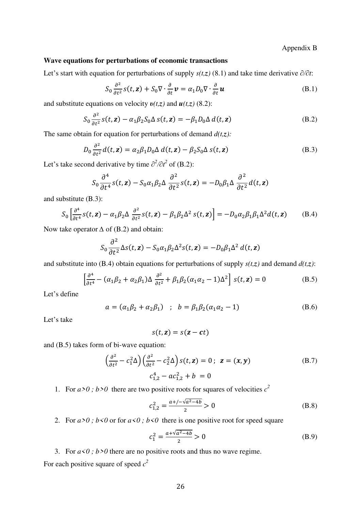### Appendix B

## **Wave equations for perturbations of economic transactions**

Let's start with equation for perturbations of supply *s(t,z)* (8.1) and take time derivative *∂/∂t*:

$$
S_0 \frac{\partial^2}{\partial t^2} s(t, \mathbf{z}) + S_0 \nabla \cdot \frac{\partial}{\partial t} \mathbf{v} = \alpha_1 D_0 \nabla \cdot \frac{\partial}{\partial t} \mathbf{u}
$$
(B.1)

and substitute equations on velocity  $v(t, z)$  and  $u(t, z)$  (8.2):

$$
S_0 \frac{\partial^2}{\partial t^2} s(t, \mathbf{z}) - \alpha_1 \beta_2 S_0 \Delta s(t, \mathbf{z}) = -\beta_1 D_0 \Delta d(t, \mathbf{z})
$$
 (B.2)

The same obtain for equation for perturbations of demand  $d(t, z)$ :

$$
D_0 \frac{\partial^2}{\partial t^2} d(t, \mathbf{z}) = \alpha_2 \beta_1 D_0 \Delta d(t, \mathbf{z}) - \beta_2 S_0 \Delta s(t, \mathbf{z})
$$
 (B.3)

Let's take second derivative by time  $\partial^2/\partial t^2$  of (B.2):

$$
S_0 \frac{\partial^4}{\partial t^4} s(t, \mathbf{z}) - S_0 \alpha_1 \beta_2 \Delta \frac{\partial^2}{\partial t^2} s(t, \mathbf{z}) = -D_0 \beta_1 \Delta \frac{\partial^2}{\partial t^2} d(t, \mathbf{z})
$$

and substitute (B.3):

$$
S_0 \left[ \frac{\partial^4}{\partial t^4} s(t, \mathbf{z}) - \alpha_1 \beta_2 \Delta \frac{\partial^2}{\partial t^2} s(t, \mathbf{z}) - \beta_1 \beta_2 \Delta^2 s(t, \mathbf{z}) \right] = -D_0 \alpha_2 \beta_1 \beta_1 \Delta^2 d(t, \mathbf{z}) \tag{B.4}
$$

Now take operator *∆* of (B.2) and obtain:

$$
S_0 \frac{\partial^2}{\partial t^2} \Delta s(t, \mathbf{z}) - S_0 \alpha_1 \beta_2 \Delta^2 s(t, \mathbf{z}) = -D_0 \beta_1 \Delta^2 d(t, \mathbf{z})
$$

and substitute into (B.4) obtain equations for perturbations of supply  $s(t,z)$  and demand  $d(t,z)$ :

$$
\left[\frac{\partial^4}{\partial t^4} - (\alpha_1 \beta_2 + \alpha_2 \beta_1) \Delta \frac{\partial^2}{\partial t^2} + \beta_1 \beta_2 (\alpha_1 \alpha_2 - 1) \Delta^2\right] s(t, \mathbf{z}) = 0
$$
 (B.5)

Let's define

$$
a = (\alpha_1 \beta_2 + \alpha_2 \beta_1) \quad ; \quad b = \beta_1 \beta_2 (\alpha_1 \alpha_2 - 1) \tag{B.6}
$$

Let's take

$$
s(t, z) = s(z - ct)
$$

and (B.5) takes form of bi-wave equation:

$$
\left(\frac{\partial^2}{\partial t^2} - c_1^2 \Delta\right) \left(\frac{\partial^2}{\partial t^2} - c_2^2 \Delta\right) s(t, \mathbf{z}) = 0; \ \mathbf{z} = (\mathbf{x}, \mathbf{y})
$$
\n(B.7)\n
$$
c_{1,2}^4 - ac_{1,2}^2 + b = 0
$$

1. For  $a > 0$ ;  $b > 0$  there are two positive roots for squares of velocities  $c^2$ 

$$
c_{1,2}^2 = \frac{a + (-\sqrt{a^2 - 4b}}{2} > 0
$$
 (B.8)

2. For  $a>0$ ;  $b<0$  or for  $a<0$ ;  $b<0$  there is one positive root for speed square

$$
c_1^2 = \frac{a + \sqrt{a^2 - 4b}}{2} > 0
$$
 (B.9)

3. For  $a < 0$ ;  $b > 0$  there are no positive roots and thus no wave regime. For each positive square of speed *c 2*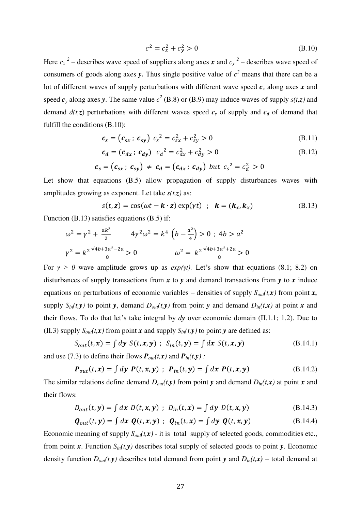$$
c^2 = c_x^2 + c_y^2 > 0 \tag{B.10}
$$

Here  $c_x^2$  – describes wave speed of suppliers along axes *x* and  $c_y^2$  – describes wave speed of consumers of goods along axes **y**. Thus single positive value of  $c^2$  means that there can be a lot of different waves of supply perturbations with different wave speed *cx* along axes *x* and speed  $c_y$  along axes *y*. The same value  $c^2$  (B.8) or (B.9) may induce waves of supply  $s(t,z)$  and demand  $d(t,z)$  perturbations with different waves speed  $c_s$  of supply and  $c_d$  of demand that fulfill the conditions (B.10):

$$
c_s = (c_{sx} ; c_{sy}) c_s^2 = c_{sx}^2 + c_{sy}^2 > 0
$$
 (B.11)

$$
c_d = (c_{dx}; c_{dy}) \ c_d^2 = c_{dx}^2 + c_{dy}^2 > 0
$$
 (B.12)

$$
c_s = (c_{sx}; c_{sy}) \neq c_d = (c_{dx}; c_{dy}) \text{ but } c_s^2 = c_d^2 > 0
$$

Let show that equations (B.5) allow propagation of supply disturbances waves with amplitudes growing as exponent. Let take *s(t,z)* as:

$$
s(t, z) = \cos(\omega t - \mathbf{k} \cdot z) \exp(\gamma t) \quad ; \quad \mathbf{k} = (\mathbf{k}_x, \mathbf{k}_x) \tag{B.13}
$$

Function (B.13) satisfies equations (B.5) if:

$$
\omega^{2} = \gamma^{2} + \frac{ak^{2}}{2} \qquad 4\gamma^{2}\omega^{2} = k^{4} \left( b - \frac{a^{2}}{4} \right) > 0 \text{ ; } 4b > a^{2}
$$

$$
\gamma^{2} = k^{2} \frac{\sqrt{4b + 3a^{2}} - 2a}{8} > 0 \qquad \omega^{2} = k^{2} \frac{\sqrt{4b + 3a^{2}} + 2a}{8} > 0
$$

For  $\gamma > 0$  wave amplitude grows up as  $exp(\gamma t)$ . Let's show that equations (8.1; 8.2) on disturbances of supply transactions from *x* to *y* and demand transactions from *y* to *x* induce equations on perturbations of economic variables – densities of supply  $S_{out}(t, x)$  from point *x*, supply  $S_{in}(t, y)$  to point *y*, demand  $D_{out}(t, y)$  from point *y* and demand  $D_{in}(t, x)$  at point *x* and their flows. To do that let's take integral by *dy* over economic domain (II.1.1; 1.2). Due to (II.3) supply  $S_{out}(t, x)$  from point *x* and supply  $S_{in}(t, y)$  to point *y* are defined as:

$$
S_{out}(t, \mathbf{x}) = \int d\mathbf{y} \ S(t, \mathbf{x}, \mathbf{y}) \ ; \ S_{in}(t, \mathbf{y}) = \int d\mathbf{x} \ S(t, \mathbf{x}, \mathbf{y}) \tag{B.14.1}
$$

and use (7.3) to define their flows  $P_{out}(t,x)$  and  $P_{in}(t,y)$ :

$$
\boldsymbol{P}_{out}(t,\boldsymbol{x}) = \int d\boldsymbol{y} \ \boldsymbol{P}(t,\boldsymbol{x},\boldsymbol{y}) \ ; \ \boldsymbol{P}_{in}(t,\boldsymbol{y}) = \int d\boldsymbol{x} \ \boldsymbol{P}(t,\boldsymbol{x},\boldsymbol{y}) \tag{B.14.2}
$$

The similar relations define demand  $D_{out}(t, y)$  from point *y* and demand  $D_{in}(t, x)$  at point *x* and their flows:

$$
D_{out}(t, \mathbf{y}) = \int dx \ D(t, x, \mathbf{y}) \ ; \ D_{in}(t, x) = \int dy \ D(t, x, \mathbf{y}) \tag{B.14.3}
$$

$$
\boldsymbol{Q}_{out}(t,\mathbf{y}) = \int d\mathbf{x} \ \boldsymbol{Q}(t,\mathbf{x},\mathbf{y}) \ ; \ \boldsymbol{Q}_{in}(t,\mathbf{x}) = \int d\mathbf{y} \ \boldsymbol{Q}(t,\mathbf{x},\mathbf{y}) \tag{B.14.4}
$$

Economic meaning of supply  $S_{out}(t, x)$  - it is total supply of selected goods, commodities etc., from point *x*. Function  $S_{in}(t, y)$  describes total supply of selected goods to point *y*. Economic density function  $D_{out}(t, y)$  describes total demand from point *y* and  $D_{in}(t, x)$  – total demand at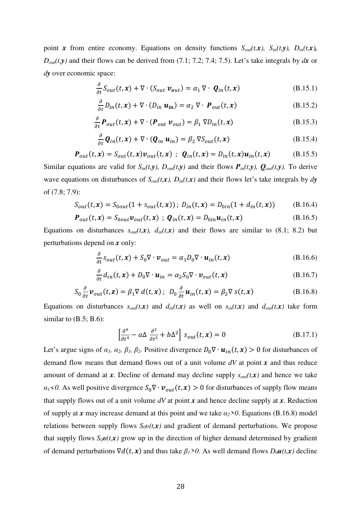point *x* from entire economy. Equations on density functions  $S_{out}(t,x)$ ,  $S_{in}(t,y)$ ,  $D_{in}(t,x)$ ,  $D_{out}(t, y)$  and their flows can be derived from (7.1; 7.2; 7.4; 7.5). Let's take integrals by  $dx$  or *dy* over economic space:

$$
\frac{\partial}{\partial t} S_{out}(t, x) + \nabla \cdot (S_{out} \, \mathbf{v}_{out}) = \alpha_1 \, \nabla \cdot \, \mathbf{Q}_{in}(t, x) \tag{B.15.1}
$$

$$
\frac{\partial}{\partial t}D_{in}(t, x) + \nabla \cdot (D_{in} \mathbf{u}_{in}) = \alpha_2 \nabla \cdot \mathbf{P}_{out}(t, x)
$$
 (B.15.2)

$$
\frac{\partial}{\partial t} \boldsymbol{P}_{out}(t, \boldsymbol{x}) + \nabla \cdot (\boldsymbol{P}_{out} \, \boldsymbol{v}_{out}) = \beta_1 \, \nabla D_{in}(t, \boldsymbol{x}) \tag{B.15.3}
$$

$$
\frac{\partial}{\partial t} \mathbf{Q}_{in}(t, x) + \nabla \cdot (\mathbf{Q}_{in} \mathbf{u}_{in}) = \beta_2 \nabla S_{out}(t, x)
$$
\n(B.15.4)

$$
\boldsymbol{P}_{out}(t,\boldsymbol{x}) = S_{out}(t,\boldsymbol{x})\boldsymbol{v}_{out}(t,\boldsymbol{x}) \; ; \; \boldsymbol{Q}_{in}(t,\boldsymbol{x}) = D_{in}(t,\boldsymbol{x})\boldsymbol{u}_{in}(t,\boldsymbol{x}) \qquad (B.15.5)
$$

Similar equations are valid for  $S_{in}(t,y)$ ,  $D_{out}(t,y)$  and their flows  $P_{in}(t,y)$ ,  $Q_{out}(t,y)$ . To derive wave equations on disturbances of  $S_{out}(t, x)$ ,  $D_{in}(t, x)$  and their flows let's take integrals by *dy* of (7.8; 7.9):

$$
S_{out}(t, x) = S_{0out}(1 + s_{out}(t, x)) ; D_{in}(t, x) = D_{0in}(1 + d_{in}(t, x))
$$
 (B.16.4)

$$
\boldsymbol{P}_{out}(t,\boldsymbol{x}) = S_{0out}\boldsymbol{v}_{out}(t,\boldsymbol{x}) \; ; \; \boldsymbol{Q}_{in}(t,\boldsymbol{x}) = D_{0in}\boldsymbol{u}_{in}(t,\boldsymbol{x}) \tag{B.16.5}
$$

Equations on disturbances  $s_{out}(t,x)$ ,  $d_{in}(t,x)$  and their flows are similar to (8.1; 8.2) but perturbations depend on *x* only:

$$
\frac{\partial}{\partial t} s_{out}(t, x) + S_0 \nabla \cdot \boldsymbol{v}_{out} = \alpha_1 D_0 \nabla \cdot \boldsymbol{u}_{in}(t, x)
$$
\n(B.16.6)

$$
\frac{\partial}{\partial t}d_{in}(t, x) + D_0 \nabla \cdot \boldsymbol{u}_{in} = \alpha_2 S_0 \nabla \cdot \boldsymbol{v}_{out}(t, x)
$$
\n(B.16.7)

$$
S_0 \frac{\partial}{\partial t} \mathbf{v}_{out}(t, \mathbf{z}) = \beta_1 \nabla d(t, \mathbf{x}) \; ; \; D_0 \frac{\partial}{\partial t} \mathbf{u}_{in}(t, \mathbf{x}) = \beta_2 \nabla s(t, \mathbf{x}) \tag{B.16.8}
$$

Equations on disturbances  $s_{out}(t,x)$  and  $d_{in}(t,x)$  as well on  $s_{in}(t,x)$  and  $d_{out}(t,x)$  take form similar to  $(B.5; B.6)$ :

$$
\left[\frac{\partial^4}{\partial t^4} - a\Delta \frac{\partial^2}{\partial t^2} + b\Delta^2\right] s_{out}(t, x) = 0
$$
 (B.17.1)

Let's argue signs of  $\alpha_1$ ,  $\alpha_2$ ,  $\beta_1$ ,  $\beta_2$ . Positive divergence  $D_0 \nabla \cdot \mathbf{u}_{in}(t, x) > 0$  for disturbances of demand flow means that demand flows out of a unit volume *dV* at point *x* and thus reduce amount of demand at *x*. Decline of demand may decline supply  $s_{out}(t, x)$  and hence we take  $a_1$  <0. As well positive divergence  $S_0 \nabla \cdot \mathbf{v}_{out}(t, x) > 0$  for disturbances of supply flow means that supply flows out of a unit volume *dV* at point *x* and hence decline supply at *x*. Reduction of supply at *x* may increase demand at this point and we take *α2>0*. Equations (B.16.8) model relations between supply flows  $S_0v(t,x)$  and gradient of demand perturbations. We propose that supply flows  $S_0v(t, x)$  grow up in the direction of higher demand determined by gradient of demand perturbations  $\nabla d(t, x)$  and thus take  $\beta_1 > 0$ . As well demand flows  $D_0 u(t, x)$  decline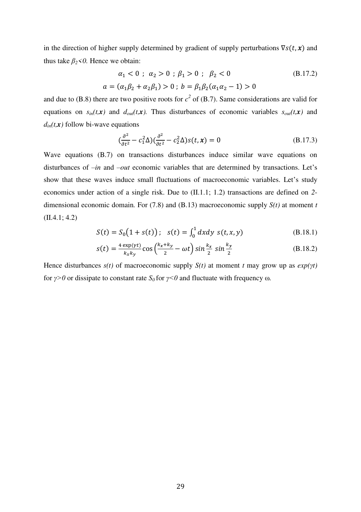in the direction of higher supply determined by gradient of supply perturbations  $\nabla s(t, x)$  and thus take  $\beta_2$ <0. Hence we obtain:

$$
\alpha_1 < 0 \; ; \; \alpha_2 > 0 \; ; \; \beta_1 > 0 \; ; \; \beta_2 < 0 \tag{B.17.2}
$$
\n
$$
a = (\alpha_1 \beta_2 + \alpha_2 \beta_1) > 0 \; ; \; b = \beta_1 \beta_2 (\alpha_1 \alpha_2 - 1) > 0
$$

and due to (B.8) there are two positive roots for  $c^2$  of (B.7). Same considerations are valid for equations on  $s_{in}(t, x)$  and  $d_{out}(t, x)$ . Thus disturbances of economic variables  $s_{out}(t, x)$  and  $d_{in}(t, x)$  follow bi-wave equations

$$
\left(\frac{\partial^2}{\partial t^2} - c_1^2 \Delta\right) \left(\frac{\partial^2}{\partial t^2} - c_2^2 \Delta\right) s(t, x) = 0
$$
\n(B.17.3)

Wave equations (B.7) on transactions disturbances induce similar wave equations on disturbances of *–in* and *–out* economic variables that are determined by transactions. Let's show that these waves induce small fluctuations of macroeconomic variables. Let's study economics under action of a single risk. Due to (II.1.1; 1.2) transactions are defined on *2* dimensional economic domain*.* For (7.8) and (B.13) macroeconomic supply *S(t)* at moment *t* (II.4.1; 4.2)

$$
S(t) = S_0(1 + s(t)); \quad s(t) = \int_0^1 dx dy \ s(t, x, y) \tag{B.18.1}
$$

$$
s(t) = \frac{4 \exp(\gamma t)}{k_x k_y} \cos\left(\frac{k_x + k_y}{2} - \omega t\right) \sin\frac{k_x}{2} \sin\frac{k_y}{2}
$$
 (B.18.2)

Hence disturbances  $s(t)$  of macroeconomic supply  $S(t)$  at moment *t* may grow up as  $exp(\gamma t)$ for  $\gamma > 0$  or dissipate to constant rate  $S_0$  for  $\gamma < 0$  and fluctuate with frequency  $\omega$ .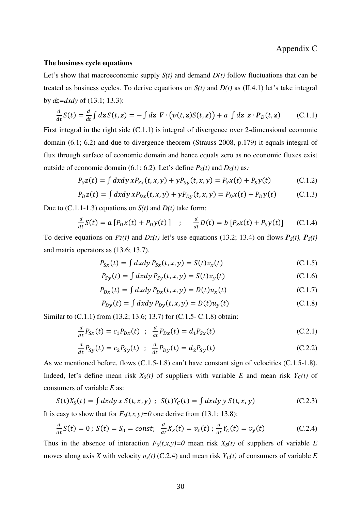## **The business cycle equations**

Let's show that macroeconomic supply  $S(t)$  and demand  $D(t)$  follow fluctuations that can be treated as business cycles. To derive equations on  $S(t)$  and  $D(t)$  as (II.4.1) let's take integral by *dz=dxdy* of (13.1; 13.3):

$$
\frac{d}{dt}S(t) = \frac{d}{dt}\int d\mathbf{z}\,S(t,\mathbf{z}) = -\int d\mathbf{z}\,\,\nabla\cdot\big(\boldsymbol{v}(t,\mathbf{z})S(t,\mathbf{z})\big) + a\,\int d\mathbf{z}\,\,\mathbf{z}\cdot\boldsymbol{P}_D(t,\mathbf{z})\qquad\text{(C.1.1)}
$$

First integral in the right side (C.1.1) is integral of divergence over 2-dimensional economic domain (6.1; 6.2) and due to divergence theorem (Strauss 2008, p.179) it equals integral of flux through surface of economic domain and hence equals zero as no economic fluxes exist outside of economic domain (6.1; 6.2). Let's define  $Pz(t)$  and  $Dz(t)$  as:

$$
P_{S}z(t) = \int dx dy x P_{Sx}(t, x, y) + y P_{Sy}(t, x, y) = P_{S}x(t) + P_{S}y(t)
$$
 (C.1.2)

$$
P_D z(t) = \int dx dy x P_{Dx}(t, x, y) + y P_{Dy}(t, x, y) = P_D x(t) + P_D y(t)
$$
 (C.1.3)

Due to (C.1.1-1.3) equations on *S(t)* and *D(t)* take form:

$$
\frac{d}{dt}S(t) = a[P_Dx(t) + P_Dy(t)] \quad ; \quad \frac{d}{dt}D(t) = b[P_Sx(t) + P_Sy(t)] \quad (C.1.4)
$$

To derive equations on  $Pz(t)$  and  $Dz(t)$  let's use equations (13.2; 13.4) on flows  $P<sub>S</sub>(t)$ ,  $P<sub>S</sub>(t)$ and matrix operators as (13.6; 13.7).

$$
P_{Sx}(t) = \int dx dy P_{Sx}(t, x, y) = S(t)v_x(t)
$$
\n(C.1.5)

$$
P_{sy}(t) = \int dx dy P_{sy}(t, x, y) = S(t)v_y(t)
$$
\n(C.1.6)

$$
P_{Dx}(t) = \int dx dy P_{Dx}(t, x, y) = D(t)u_x(t)
$$
\n(C.1.7)

$$
P_{D y}(t) = \int dx dy P_{D y}(t, x, y) = D(t) u_y(t)
$$
 (C.1.8)

Similar to (C.1.1) from (13.2; 13.6; 13.7) for (C.1.5- C.1.8) obtain:

$$
\frac{d}{dt}P_{Sx}(t) = c_1 P_{Dx}(t) \; ; \; \frac{d}{dt}P_{Dx}(t) = d_1 P_{Sx}(t) \tag{C.2.1}
$$

$$
\frac{d}{dt}P_{Sy}(t) = c_2 P_{Sy}(t) \; ; \; \frac{d}{dt}P_{Dy}(t) = d_2 P_{Sy}(t) \tag{C.2.2}
$$

As we mentioned before, flows (C.1.5-1.8) can't have constant sign of velocities (C.1.5-1.8). Indeed, let's define mean risk  $X<sub>S</sub>(t)$  of suppliers with variable *E* and mean risk  $Y<sub>C</sub>(t)$  of consumers of variable *E* as:

$$
S(t)XS(t) = \int dx dy x S(t, x, y) ; S(t)YC(t) = \int dx dy y S(t, x, y)
$$
 (C.2.3)

It is easy to show that for  $F_S(t,x,y)=0$  one derive from (13.1; 13.8):

$$
\frac{d}{dt}S(t) = 0 \; ; \; S(t) = S_0 = const; \; \frac{d}{dt}X_S(t) = v_x(t) \; ; \; \frac{d}{dt}Y_C(t) = v_y(t) \tag{C.2.4}
$$

Thus in the absence of interaction  $F_S(t,x,y)=0$  mean risk  $X_S(t)$  of suppliers of variable *E* moves along axis *X* with velocity *υx(t)* (C.2.4) and mean risk *YC(t)* of consumers of variable *E*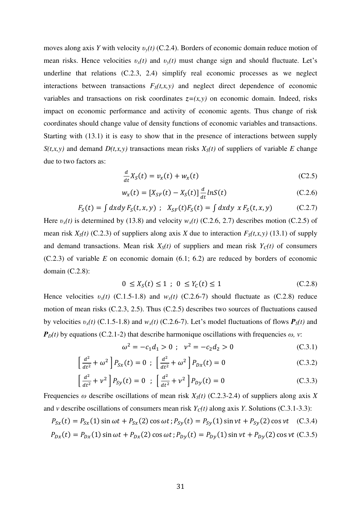moves along axis *Y* with velocity *υy(t)* (C.2.4). Borders of economic domain reduce motion of mean risks. Hence velocities  $v_x(t)$  and  $v_y(t)$  must change sign and should fluctuate. Let's underline that relations (C.2.3, 2.4) simplify real economic processes as we neglect interactions between transactions  $F_S(t,x,y)$  and neglect direct dependence of economic variables and transactions on risk coordinates  $z=(x,y)$  on economic domain. Indeed, risks impact on economic performance and activity of economic agents. Thus change of risk coordinates should change value of density functions of economic variables and transactions. Starting with (13.1) it is easy to show that in the presence of interactions between supply *S*(*t,x,y*) and demand *D*(*t,x,y*) transactions mean risks  $X<sub>S</sub>(t)$  of suppliers of variable *E* change due to two factors as:

$$
\frac{d}{dt}X_{S}(t) = v_{x}(t) + w_{x}(t) \tag{C2.5}
$$

$$
w_x(t) = [X_{SF}(t) - X_S(t)] \frac{d}{dt} ln S(t)
$$
 (C.2.6)

$$
F_S(t) = \int dx dy F_S(t, x, y) \; ; \; X_{SF}(t)F_S(t) = \int dx dy \; x F_S(t, x, y) \tag{C.2.7}
$$

Here  $v_x(t)$  is determined by (13.8) and velocity  $w_x(t)$  (C.2.6, 2.7) describes motion (C.2.5) of mean risk  $X_s(t)$  (C.2.3) of suppliers along axis *X* due to interaction  $F_s(t,x,y)$  (13.1) of supply and demand transactions. Mean risk  $X<sub>S</sub>(t)$  of suppliers and mean risk  $Y<sub>C</sub>(t)$  of consumers (C.2.3) of variable *E* on economic domain (6.1; 6.2) are reduced by borders of economic domain (C.2.8):

$$
0 \le X_S(t) \le 1 \; ; \; 0 \le Y_C(t) \le 1 \tag{C.2.8}
$$

Hence velocities  $v_x(t)$  (C.1.5-1.8) and  $w_x(t)$  (C.2.6-7) should fluctuate as (C.2.8) reduce motion of mean risks (C.2.3, 2.5). Thus (C.2.5) describes two sources of fluctuations caused by velocities  $v_x(t)$  (C.1.5-1.8) and  $w_x(t)$  (C.2.6-7). Let's model fluctuations of flows  $P_s(t)$  and  $P_D(t)$  by equations (C.2.1-2) that describe harmonique oscillations with frequencies  $\omega$ , *v*:

$$
\omega^2 = -c_1 d_1 > 0 \; ; \; \; \nu^2 = -c_2 d_2 > 0 \tag{C.3.1}
$$

$$
\left[\frac{d^2}{dt^2} + \omega^2\right]P_{Sx}(t) = 0 \; ; \; \left[\frac{d^2}{dt^2} + \omega^2\right]P_{Dx}(t) = 0 \tag{C.3.2}
$$

$$
\left[\frac{d^2}{dt^2} + \nu^2\right]P_{Sy}(t) = 0 \quad ; \quad \left[\frac{d^2}{dt^2} + \nu^2\right]P_{Dy}(t) = 0 \tag{C.3.3}
$$

Frequencies  $\omega$  describe oscillations of mean risk  $X<sub>S</sub>(t)$  (C.2.3-2.4) of suppliers along axis *X* and *v* describe oscillations of consumers mean risk  $Y_c(t)$  along axis *Y*. Solutions (C.3.1-3.3):

$$
P_{Sx}(t) = P_{Sx}(1)\sin \omega t + P_{Sx}(2)\cos \omega t; P_{Sy}(t) = P_{Sy}(1)\sin \nu t + P_{Sy}(2)\cos \nu t \quad (C.3.4)
$$

$$
P_{Dx}(t) = P_{Dx}(1)\sin \omega t + P_{Dx}(2)\cos \omega t; P_{Dy}(t) = P_{Dy}(1)\sin \nu t + P_{Dy}(2)\cos \nu t \tag{C.3.5}
$$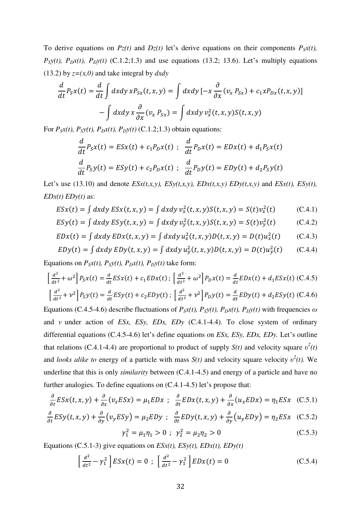To derive equations on  $Pz(t)$  and  $Dz(t)$  let's derive equations on their components  $P_Sx(t)$ ,  $P<sub>S</sub>y(t)$ ,  $P<sub>D</sub>x(t)$ ,  $P<sub>D</sub>y(t)$  (C.1.2;1.3) and use equations (13.2; 13.6). Let's multiply equations (13.2) by *z=(x,0)* and take integral by *dxdy*

$$
\frac{d}{dt}P_Sx(t) = \frac{d}{dt}\int dxdy xP_{Sx}(t, x, y) = \int dxdy [-x\frac{\partial}{\partial x}(v_x P_{Sx}) + c_1xP_{Dx}(t, x, y)]
$$

$$
-\int dxdy x \frac{\partial}{\partial x}(v_x P_{Sx}) = \int dxdy v_x^2(t, x, y)S(t, x, y)
$$

For  $P_Sx(t)$ ,  $P_Sy(t)$ ,  $P_Dx(t)$ ,  $P_Dy(t)$  (C.1.2;1.3) obtain equations:

$$
\frac{d}{dt}P_Sx(t) = ESx(t) + c_1P_Dx(t) \; ; \; \frac{d}{dt}P_Dx(t) = EDx(t) + d_1P_Sx(t)
$$
\n
$$
\frac{d}{dt}P_Sy(t) = ESy(t) + c_2P_Dx(t) \; ; \; \frac{d}{dt}P_Dy(t) = EDy(t) + d_2P_Sy(t)
$$

Let's use (13.10) and denote  $ESx(t,x,y)$ ,  $ESy(t,x,y)$ ,  $EDx(t,x,y)$  *EDy(t,x,y)* and  $ESx(t)$ ,  $ESy(t)$ , *EDx(t) EDy(t)* as:

$$
ESx(t) = \int dx dy ESx(t, x, y) = \int dx dy v_x^2(t, x, y) S(t, x, y) = S(t)v_x^2(t)
$$
 (C.4.1)

$$
ESy(t) = \int dx dy \, ESy(t, x, y) = \int dx dy \, v_y^2(t, x, y) S(t, x, y) = S(t) v_y^2(t) \tag{C.4.2}
$$

$$
EDx(t) = \int dx dy \, EDx(t, x, y) = \int dx dy \, u_x^2(t, x, y) D(t, x, y) = D(t) u_x^2(t) \qquad (C.4.3)
$$

$$
EDy(t) = \int dx dy \, EDy(t, x, y) = \int dx dy \, u_y^2(t, x, y) D(t, x, y) = D(t) u_y^2(t) \qquad (C.4.4)
$$

Equations on  $P_Sx(t)$ ,  $P_Sy(t)$ ,  $P_Dx(t)$ ,  $P_Dy(t)$  take form:

$$
\left[\frac{d^2}{dt^2} + \omega^2\right] P_S x(t) = \frac{d}{dt} E S x(t) + c_1 E D x(t) ; \left[\frac{d^2}{dt^2} + \omega^2\right] P_D x(t) = \frac{d}{dt} E D x(t) + d_1 E S x(t) \tag{C.4.5}
$$
\n
$$
\left[\frac{d^2}{dt^2} + \nu^2\right] P_S y(t) = \frac{d}{dt} E S y(t) + c_2 E D y(t) ; \left[\frac{d^2}{dt^2} + \nu^2\right] P_D y(t) = \frac{d}{dt} E D y(t) + d_2 E S y(t) \tag{C.4.6}
$$

Equations (C.4.5-4.6) describe fluctuations of  $P_Sx(t)$ ,  $P_Sy(t)$ ,  $P_Dx(t)$ ,  $P_Dy(t)$  with frequencies  $\omega$ and *ν* under action of *ESx, ESy, EDx, EDy* (C.4.1-4.4). To close system of ordinary differential equations (C.4.5-4.6) let's define equations on *ESx, ESy, EDx, EDy.* Let's outline that relations (C.4.1-4.4) are proportional to product of supply  $S(t)$  and velocity square  $v^2(t)$ and *looks alike to energy* of a particle with mass  $S(t)$  and velocity square velocity  $v^2(t)$ . We underline that this is only *similarity* between (C.4.1-4.5) and energy of a particle and have no further analogies. To define equations on (C.4.1-4.5) let's propose that:

$$
\frac{\partial}{\partial t} ESx(t, x, y) + \frac{\partial}{\partial x} (v_x ESx) = \mu_1 EDx \; ; \; \frac{\partial}{\partial t} EDx(t, x, y) + \frac{\partial}{\partial x} (u_x EDx) = \eta_1 ESx \; (C.5.1)
$$

$$
\frac{\partial}{\partial t} ESy(t, x, y) + \frac{\partial}{\partial y} (v_y ESy) = \mu_2 EDy \; ; \; \frac{\partial}{\partial t} EDy(t, x, y) + \frac{\partial}{\partial y} (u_y EDy) = \eta_2 ESx \quad (C.5.2)
$$

$$
\gamma_1^2 = \mu_1 \eta_1 > 0 \; ; \; \gamma_2^2 = \mu_2 \eta_2 > 0 \tag{C.5.3}
$$

Equations (C.5.1-3) give equations on  $ESx(t)$ ,  $ESy(t)$ ,  $EDx(t)$ ,  $EDy(t)$ 

$$
\left[\frac{d^2}{dt^2} - \gamma_1^2\right] E S x(t) = 0 \; ; \; \left[\frac{d^2}{dt^2} - \gamma_1^2\right] E D x(t) = 0 \tag{C.5.4}
$$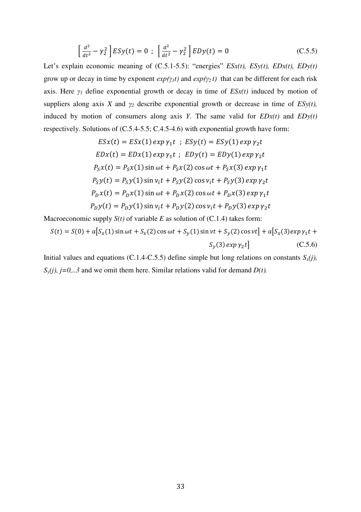$$
\left[\frac{d^2}{dt^2} - \gamma_2^2\right] E S y(t) = 0 \; ; \; \left[\frac{d^2}{dt^2} - \gamma_2^2\right] E D y(t) = 0 \tag{C.5.5}
$$

Let's explain economic meaning of  $(C.5.1-5.5)$ : "energies"  $ESx(t)$ ,  $ESy(t)$ ,  $EDx(t)$ ,  $EDy(t)$ grow up or decay in time by exponent  $exp(\gamma_1 t)$  and  $exp(\gamma_2 t)$  that can be different for each risk axis. Here  $\gamma$ <sup>*I*</sup> define exponential growth or decay in time of *ESx(t)* induced by motion of suppliers along axis *X* and  $\gamma_2$  describe exponential growth or decrease in time of  $ESy(t)$ , induced by motion of consumers along axis *Y*. The same valid for  $EDx(t)$  and  $EDy(t)$ respectively. Solutions of (C.5.4-5.5; C.4.5-4.6) with exponential growth have form:

$$
ESx(t) = ESx(1) exp \gamma_1 t ; ESy(t) = ESy(1) exp \gamma_2 t
$$
  
\n
$$
EDx(t) = EDx(1) exp \gamma_1 t ; EDy(t) = EDy(1) exp \gamma_2 t
$$
  
\n
$$
P_Sx(t) = P_Sx(1) sin \omega t + P_Sx(2) cos \omega t + P_Sx(3) exp \gamma_1 t
$$
  
\n
$$
P_Sy(t) = P_Sy(1) sin \gamma_1 t + P_Sy(2) cos \gamma_1 t + P_Sy(3) exp \gamma_2 t
$$
  
\n
$$
P_Dx(t) = P_Dx(1) sin \omega t + P_Dx(2) cos \omega t + P_Dx(3) exp \gamma_1 t
$$
  
\n
$$
P_Dy(t) = P_Dy(1) sin \gamma_1 t + P_Dy(2) cos \gamma_1 t + P_Dy(3) exp \gamma_2 t
$$

Macroeconomic supply  $S(t)$  of variable  $E$  as solution of  $(C.1.4)$  takes form:

$$
S(t) = S(0) + a[S_x(1)\sin \omega t + S_x(2)\cos \omega t + S_y(1)\sin \nu t + S_y(2)\cos \nu t] + a[S_x(3)exp \gamma_1 t + S_y(3)exp \gamma_2 t]
$$
(C.5.6)

Initial values and equations (C.1.4-C.5.5) define simple but long relations on constants  $S_x(j)$ ,  $S_v(j)$ ,  $j=0,..3$  and we omit them here. Similar relations valid for demand *D(t)*.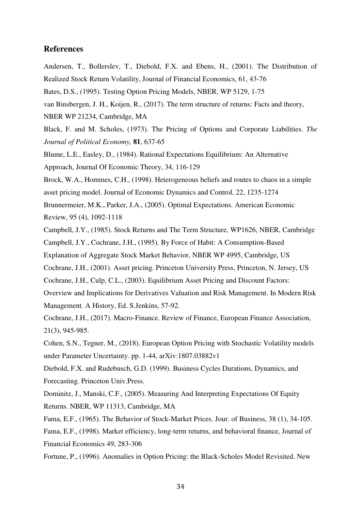## **References**

- Andersen, T., Bollerslev, T., Diebold, F.X. and Ebens, H., (2001). The Distribution of Realized Stock Return Volatility, Journal of Financial Economics, 61, 43-76
- Bates, D.S., (1995). Testing Option Pricing Models, NBER, WP 5129, 1-75
- van Binsbergen, J. H., Koijen, R., (2017). The term structure of returns: Facts and theory,
- NBER WP 21234, Cambridge, MA
- Black, F. and M. Scholes, (1973). The Pricing of Options and Corporate Liabilities. *The Journal of Political Economy,* **81**, 637-65
- Blume, L.E., Easley, D., (1984). Rational Expectations Equilibrium: An Alternative Approach, Journal Of Economic Theory, 34, 116-129
- Brock, W.A., Hommes, C.H., (1998). Heterogeneous beliefs and routes to chaos in a simple
- asset pricing model. Journal of Economic Dynamics and Control, 22, 1235-1274
- Brunnermeier, M.K., Parker, J.A., (2005). Optimal Expectations. American Economic Review, 95 (4), 1092-1118
- Campbell, J.Y., (1985). Stock Returns and The Term Structure, WP1626, NBER, Cambridge Campbell, J.Y., Cochrane, J.H., (1995). By Force of Habit: A Consumption-Based
- Explanation of Aggregate Stock Market Behavior, NBER WP 4995, Cambridge, US
- Cochrane, J.H., (2001). Asset pricing. Princeton University Press, Princeton, N. Jersey, US
- Cochrane, J.H., Culp, C.L., (2003). Equilibrium Asset Pricing and Discount Factors:
- Overview and Implications for Derivatives Valuation and Risk Management. In Modern Risk Management. A History, Ed. S.Jenkins, 57-92.
- Cochrane, J.H., (2017). Macro-Finance. Review of Finance, European Finance Association, 21(3), 945-985.
- Cohen, S.N., Tegner, M., (2018). European Option Pricing with Stochastic Volatility models under Parameter Uncertainty. pp. 1-44, arXiv:1807.03882v1
- Diebold, F.X. and Rudebusch, G.D. (1999). Business Cycles Durations, Dynamics, and Forecasting. Princeton Univ.Press.
- Dominitz, J., Manski, C.F., (2005). Measuring And Interpreting Expectations Of Equity Returns. NBER, WP 11313, Cambridge, MA
- Fama, E.F., (1965). The Behavior of Stock-Market Prices. Jour. of Business, 38 (1), 34-105. Fama, E.F., (1998). Market efficiency, long-term returns, and behavioral finance, Journal of Financial Economics 49, 283-306
- Fortune, P., (1996). Anomalies in Option Pricing: the Black-Scholes Model Revisited. New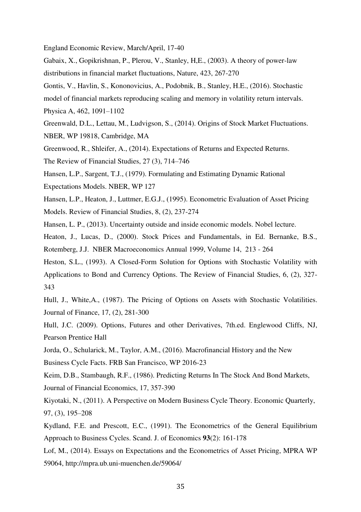England Economic Review, March/April, 17-40

Gabaix, X., Gopikrishnan, P., Plerou, V., Stanley, H,E., (2003). A theory of power-law distributions in financial market fluctuations, Nature, 423, 267-270

Gontis, V., Havlin, S., Kononovicius, A., Podobnik, B., Stanley, H.E., (2016). Stochastic

model of financial markets reproducing scaling and memory in volatility return intervals. Physica A, 462, 1091–1102

Greenwald, D.L., Lettau, M., Ludvigson, S., (2014). Origins of Stock Market Fluctuations. NBER, WP 19818, Cambridge, MA

Greenwood, R., Shleifer, A., (2014). Expectations of Returns and Expected Returns.

The Review of Financial Studies, 27 (3), 714–746

Hansen, L.P., Sargent, T.J., (1979). Formulating and Estimating Dynamic Rational Expectations Models. NBER, WP 127

Hansen, L.P., Heaton, J., Luttmer, E.G.J., (1995). Econometric Evaluation of Asset Pricing Models. Review of Financial Studies, 8, (2), 237-274

Hansen, L. P., (2013). Uncertainty outside and inside economic models. Nobel lecture.

Heaton, J., Lucas, D., (2000). Stock Prices and Fundamentals, in Ed. Bernanke, B.S., Rotemberg, J.J. NBER Macroeconomics Annual 1999, Volume 14, 213 - 264

Heston, S.L., (1993). A Closed-Form Solution for Options with Stochastic Volatility with Applications to Bond and Currency Options. The Review of Financial Studies, 6, (2), 327- 343

Hull, J., White,A., (1987). The Pricing of Options on Assets with Stochastic Volatilities. Journal of Finance, 17, (2), 281-300

Hull, J.C. (2009). Options, Futures and other Derivatives, 7th.ed. Englewood Cliffs, NJ, Pearson Prentice Hall

Jorda, O., Schularick, M., Taylor, A.M., (2016). Macrofinancial History and the New

Business Cycle Facts. FRB San Francisco, WP 2016-23

Keim, D.B., Stambaugh, R.F., (1986). Predicting Returns In The Stock And Bond Markets, Journal of Financial Economics, 17, 357-390

Kiyotaki, N., (2011). A Perspective on Modern Business Cycle Theory. Economic Quarterly, 97, (3), 195–208

Kydland, F.E. and Prescott, E.C., (1991). The Econometrics of the General Equilibrium Approach to Business Cycles. Scand. J. of Economics **93**(2): 161-178

Lof, M., (2014). Essays on Expectations and the Econometrics of Asset Pricing, MPRA WP 59064, http://mpra.ub.uni-muenchen.de/59064/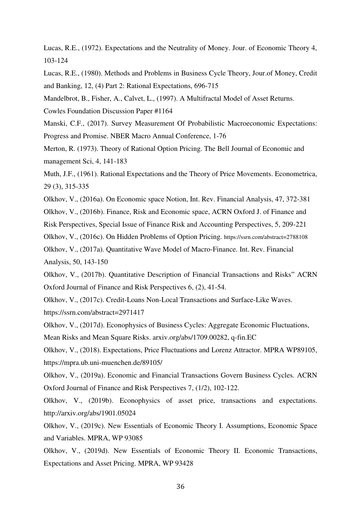Lucas, R.E., (1972). Expectations and the Neutrality of Money. Jour. of Economic Theory 4, 103-124

Lucas, R.E., (1980). Methods and Problems in Business Cycle Theory, Jour.of Money, Credit and Banking, 12, (4) Part 2: Rational Expectations, 696-715

Mandelbrot, B., Fisher, A., Calvet, L., (1997). A Multifractal Model of Asset Returns.

Cowles Foundation Discussion Paper #1164

Manski, C.F., (2017). Survey Measurement Of Probabilistic Macroeconomic Expectations: Progress and Promise. NBER Macro Annual Conference, 1-76

Merton, R. (1973). Theory of Rational Option Pricing. The Bell Journal of Economic and management Sci, 4, 141-183

Muth, J.F., (1961). Rational Expectations and the Theory of Price Movements. Econometrica, 29 (3), 315-335

Olkhov, V., (2016a). On Economic space Notion, Int. Rev. Financial Analysis, 47, 372-381

Olkhov, V., (2016b). Finance, Risk and Economic space, ACRN Oxford J. of Finance and

Risk Perspectives, Special Issue of Finance Risk and Accounting Perspectives, 5, 209-221

Olkhov, V., (2016c). On Hidden Problems of Option Pricing. https://ssrn.com/abstract=2788108

Olkhov, V., (2017a). Quantitative Wave Model of Macro-Finance. Int. Rev. Financial Analysis, 50, 143-150

Olkhov, V., (2017b). Quantitative Description of Financial Transactions and Risks" ACRN Oxford Journal of Finance and Risk Perspectives 6, (2), 41-54.

Olkhov, V., (2017c). Credit-Loans Non-Local Transactions and Surface-Like Waves. https://ssrn.com/abstract=2971417

Olkhov, V., (2017d). Econophysics of Business Cycles: Aggregate Economic Fluctuations,

Mean Risks and Mean Square Risks. arxiv.org/abs/1709.00282, q-fin.EC

Olkhov, V., (2018). Expectations, Price Fluctuations and Lorenz Attractor. MPRA WP89105, https://mpra.ub.uni-muenchen.de/89105/

Olkhov, V., (2019a). Economic and Financial Transactions Govern Business Cycles. ACRN Oxford Journal of Finance and Risk Perspectives 7, (1/2), 102-122.

Olkhov, V., (2019b). Econophysics of asset price, transactions and expectations. http://arxiv.org/abs/1901.05024

Olkhov, V., (2019c). New Essentials of Economic Theory I. Assumptions, Economic Space and Variables. MPRA, WP 93085

Olkhov, V., (2019d). New Essentials of Economic Theory II. Economic Transactions, Expectations and Asset Pricing. MPRA, WP 93428